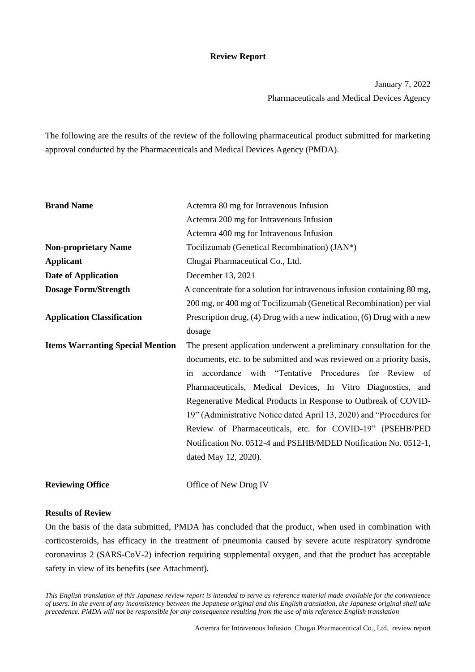#### **Review Report**

January 7, 2022 Pharmaceuticals and Medical Devices Agency

The following are the results of the review of the following pharmaceutical product submitted for marketing approval conducted by the Pharmaceuticals and Medical Devices Agency (PMDA).

| <b>Brand Name</b>                       | Actemra 80 mg for Intravenous Infusion                                     |  |  |  |  |  |
|-----------------------------------------|----------------------------------------------------------------------------|--|--|--|--|--|
|                                         | Actemra 200 mg for Intravenous Infusion                                    |  |  |  |  |  |
|                                         | Actemra 400 mg for Intravenous Infusion                                    |  |  |  |  |  |
| <b>Non-proprietary Name</b>             | Tocilizumab (Genetical Recombination) (JAN*)                               |  |  |  |  |  |
| <b>Applicant</b>                        | Chugai Pharmaceutical Co., Ltd.                                            |  |  |  |  |  |
| <b>Date of Application</b>              | December 13, 2021                                                          |  |  |  |  |  |
| <b>Dosage Form/Strength</b>             | A concentrate for a solution for intravenous infusion containing 80 mg,    |  |  |  |  |  |
|                                         | 200 mg, or 400 mg of Tocilizumab (Genetical Recombination) per vial        |  |  |  |  |  |
| <b>Application Classification</b>       | Prescription drug, $(4)$ Drug with a new indication, $(6)$ Drug with a new |  |  |  |  |  |
|                                         | dosage                                                                     |  |  |  |  |  |
| <b>Items Warranting Special Mention</b> | The present application underwent a preliminary consultation for the       |  |  |  |  |  |
|                                         | documents, etc. to be submitted and was reviewed on a priority basis,      |  |  |  |  |  |
|                                         | accordance with "Tentative Procedures for Review of<br>in                  |  |  |  |  |  |
|                                         | Pharmaceuticals, Medical Devices, In Vitro Diagnostics, and                |  |  |  |  |  |
|                                         | Regenerative Medical Products in Response to Outbreak of COVID-            |  |  |  |  |  |
|                                         | 19" (Administrative Notice dated April 13, 2020) and "Procedures for       |  |  |  |  |  |
|                                         | Review of Pharmaceuticals, etc. for COVID-19" (PSEHB/PED                   |  |  |  |  |  |
|                                         | Notification No. 0512-4 and PSEHB/MDED Notification No. 0512-1,            |  |  |  |  |  |
|                                         | dated May 12, 2020).                                                       |  |  |  |  |  |
| <b>Reviewing Office</b>                 | Office of New Drug IV                                                      |  |  |  |  |  |

#### **Results of Review**

On the basis of the data submitted, PMDA has concluded that the product, when used in combination with corticosteroids, has efficacy in the treatment of pneumonia caused by severe acute respiratory syndrome coronavirus 2 (SARS-CoV-2) infection requiring supplemental oxygen, and that the product has acceptable safety in view of its benefits (see Attachment).

*This English translation of this Japanese review report is intended to serve as reference material made available for the convenience of users. In the event of any inconsistency between the Japanese original and this English translation, the Japanese original shall take precedence. PMDA will not be responsible for any consequence resulting from the use of this reference English translation*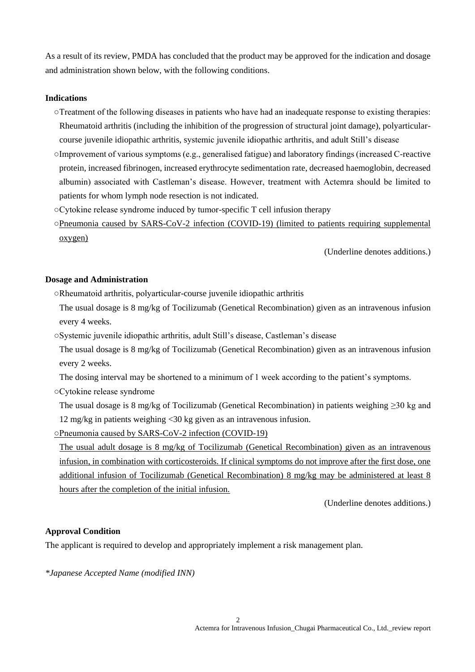As a result of its review, PMDA has concluded that the product may be approved for the indication and dosage and administration shown below, with the following conditions.

#### **Indications**

- ○Treatment of the following diseases in patients who have had an inadequate response to existing therapies: Rheumatoid arthritis (including the inhibition of the progression of structural joint damage), polyarticularcourse juvenile idiopathic arthritis, systemic juvenile idiopathic arthritis, and adult Still's disease
- ○Improvement of various symptoms (e.g., generalised fatigue) and laboratory findings (increased C-reactive protein, increased fibrinogen, increased erythrocyte sedimentation rate, decreased haemoglobin, decreased albumin) associated with Castleman's disease. However, treatment with Actemra should be limited to patients for whom lymph node resection is not indicated.
- ○Cytokine release syndrome induced by tumor-specific T cell infusion therapy
- ○Pneumonia caused by SARS-CoV-2 infection (COVID-19) (limited to patients requiring supplemental oxygen)

(Underline denotes additions.)

#### **Dosage and Administration**

- ○Rheumatoid arthritis, polyarticular-course juvenile idiopathic arthritis
- The usual dosage is 8 mg/kg of Tocilizumab (Genetical Recombination) given as an intravenous infusion every 4 weeks.
- ○Systemic juvenile idiopathic arthritis, adult Still's disease, Castleman's disease
- The usual dosage is 8 mg/kg of Tocilizumab (Genetical Recombination) given as an intravenous infusion every 2 weeks.
- The dosing interval may be shortened to a minimum of 1 week according to the patient's symptoms.
- ○Cytokine release syndrome

The usual dosage is 8 mg/kg of Tocilizumab (Genetical Recombination) in patients weighing ≥30 kg and 12 mg/kg in patients weighing <30 kg given as an intravenous infusion.

○Pneumonia caused by SARS-CoV-2 infection (COVID-19)

The usual adult dosage is 8 mg/kg of Tocilizumab (Genetical Recombination) given as an intravenous infusion, in combination with corticosteroids. If clinical symptoms do not improve after the first dose, one additional infusion of Tocilizumab (Genetical Recombination) 8 mg/kg may be administered at least 8 hours after the completion of the initial infusion.

(Underline denotes additions.)

#### **Approval Condition**

The applicant is required to develop and appropriately implement a risk management plan.

*\*Japanese Accepted Name (modified INN)*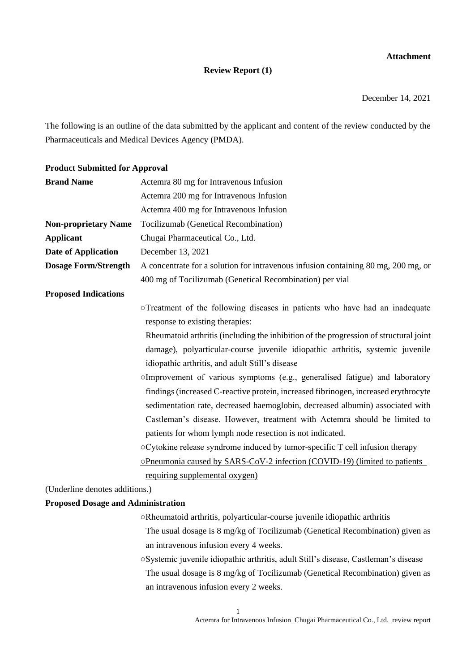## **Attachment**

## **Review Report (1)**

December 14, 2021

The following is an outline of the data submitted by the applicant and content of the review conducted by the Pharmaceuticals and Medical Devices Agency (PMDA).

#### **Product Submitted for Approval**

| <b>Brand Name</b>                         | Actemra 80 mg for Intravenous Infusion                                                |  |  |  |  |
|-------------------------------------------|---------------------------------------------------------------------------------------|--|--|--|--|
|                                           | Actemra 200 mg for Intravenous Infusion                                               |  |  |  |  |
|                                           | Actemra 400 mg for Intravenous Infusion                                               |  |  |  |  |
| <b>Non-proprietary Name</b>               | Tocilizumab (Genetical Recombination)                                                 |  |  |  |  |
| <b>Applicant</b>                          | Chugai Pharmaceutical Co., Ltd.                                                       |  |  |  |  |
| <b>Date of Application</b>                | December 13, 2021                                                                     |  |  |  |  |
| <b>Dosage Form/Strength</b>               | A concentrate for a solution for intravenous infusion containing 80 mg, 200 mg, or    |  |  |  |  |
|                                           | 400 mg of Tocilizumab (Genetical Recombination) per vial                              |  |  |  |  |
| <b>Proposed Indications</b>               |                                                                                       |  |  |  |  |
|                                           | oTreatment of the following diseases in patients who have had an inadequate           |  |  |  |  |
|                                           | response to existing therapies:                                                       |  |  |  |  |
|                                           | Rheumatoid arthritis (including the inhibition of the progression of structural joint |  |  |  |  |
|                                           | damage), polyarticular-course juvenile idiopathic arthritis, systemic juvenile        |  |  |  |  |
|                                           | idiopathic arthritis, and adult Still's disease                                       |  |  |  |  |
|                                           | OImprovement of various symptoms (e.g., generalised fatigue) and laboratory           |  |  |  |  |
|                                           | findings (increased C-reactive protein, increased fibrinogen, increased erythrocyte   |  |  |  |  |
|                                           | sedimentation rate, decreased haemoglobin, decreased albumin) associated with         |  |  |  |  |
|                                           | Castleman's disease. However, treatment with Actemra should be limited to             |  |  |  |  |
|                                           | patients for whom lymph node resection is not indicated.                              |  |  |  |  |
|                                           | ○ Cytokine release syndrome induced by tumor-specific T cell infusion therapy         |  |  |  |  |
|                                           | <b>OPneumonia caused by SARS-CoV-2 infection (COVID-19) (limited to patients</b>      |  |  |  |  |
|                                           | requiring supplemental oxygen)                                                        |  |  |  |  |
| (Underline denotes additions.)            |                                                                                       |  |  |  |  |
| <b>Proposed Dosage and Administration</b> |                                                                                       |  |  |  |  |
|                                           | oRheumatoid arthritis, polyarticular-course juvenile idiopathic arthritis             |  |  |  |  |
|                                           | The usual dosage is 8 mg/kg of Tocilizumab (Genetical Recombination) given as         |  |  |  |  |

- an intravenous infusion every 4 weeks.
- ○Systemic juvenile idiopathic arthritis, adult Still's disease, Castleman's disease The usual dosage is 8 mg/kg of Tocilizumab (Genetical Recombination) given as an intravenous infusion every 2 weeks.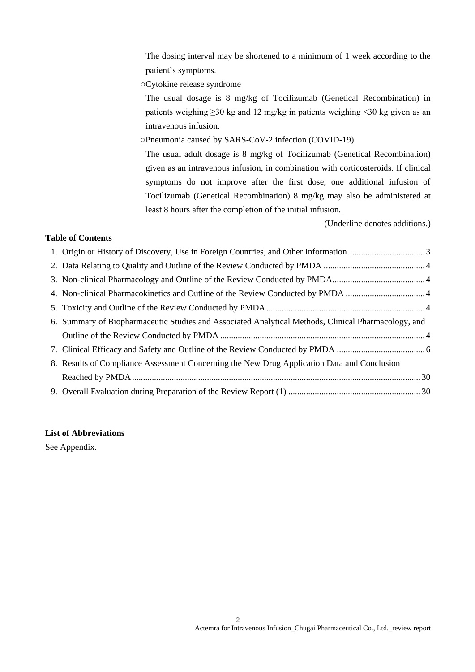The dosing interval may be shortened to a minimum of 1 week according to the patient's symptoms.

○Cytokine release syndrome

The usual dosage is 8 mg/kg of Tocilizumab (Genetical Recombination) in patients weighing ≥30 kg and 12 mg/kg in patients weighing <30 kg given as an intravenous infusion.

○Pneumonia caused by SARS-CoV-2 infection (COVID-19)

The usual adult dosage is 8 mg/kg of Tocilizumab (Genetical Recombination) given as an intravenous infusion, in combination with corticosteroids. If clinical symptoms do not improve after the first dose, one additional infusion of Tocilizumab (Genetical Recombination) 8 mg/kg may also be administered at least 8 hours after the completion of the initial infusion.

(Underline denotes additions.)

## **Table of Contents**

| 6. Summary of Biopharmaceutic Studies and Associated Analytical Methods, Clinical Pharmacology, and |  |
|-----------------------------------------------------------------------------------------------------|--|
|                                                                                                     |  |
|                                                                                                     |  |
| 8. Results of Compliance Assessment Concerning the New Drug Application Data and Conclusion         |  |
|                                                                                                     |  |
|                                                                                                     |  |

## **List of Abbreviations**

See Appendix.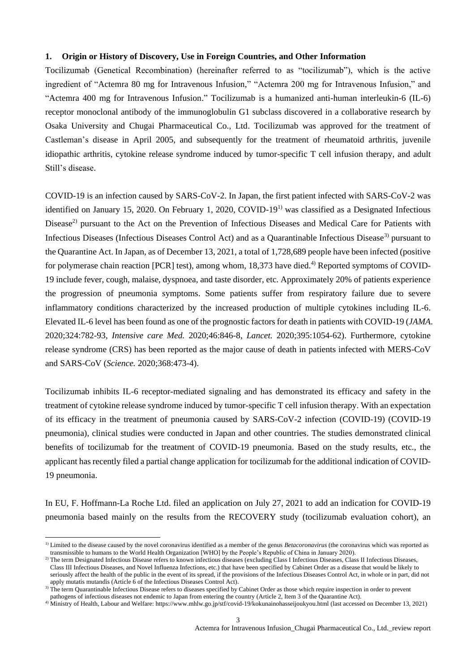#### **1. Origin or History of Discovery, Use in Foreign Countries, and Other Information**

Tocilizumab (Genetical Recombination) (hereinafter referred to as "tocilizumab"), which is the active ingredient of "Actemra 80 mg for Intravenous Infusion," "Actemra 200 mg for Intravenous Infusion," and "Actemra 400 mg for Intravenous Infusion." Tocilizumab is a humanized anti-human interleukin-6 (IL-6) receptor monoclonal antibody of the immunoglobulin G1 subclass discovered in a collaborative research by Osaka University and Chugai Pharmaceutical Co., Ltd. Tocilizumab was approved for the treatment of Castleman's disease in April 2005, and subsequently for the treatment of rheumatoid arthritis, juvenile idiopathic arthritis, cytokine release syndrome induced by tumor-specific T cell infusion therapy, and adult Still's disease.

COVID-19 is an infection caused by SARS-CoV-2. In Japan, the first patient infected with SARS-CoV-2 was identified on January 15, 2020. On February 1, 2020, COVID-19<sup>1)</sup> was classified as a Designated Infectious Disease<sup>2)</sup> pursuant to the Act on the Prevention of Infectious Diseases and Medical Care for Patients with Infectious Diseases (Infectious Diseases Control Act) and as a Quarantinable Infectious Disease<sup>3)</sup> pursuant to the Quarantine Act. In Japan, as of December 13, 2021, a total of 1,728,689 people have been infected (positive for polymerase chain reaction [PCR] test), among whom, 18,373 have died.<sup>4)</sup> Reported symptoms of COVID-19 include fever, cough, malaise, dyspnoea, and taste disorder, etc. Approximately 20% of patients experience the progression of pneumonia symptoms. Some patients suffer from respiratory failure due to severe inflammatory conditions characterized by the increased production of multiple cytokines including IL-6. Elevated IL-6 level has been found as one of the prognostic factors for death in patients with COVID-19 (*JAMA*. 2020;324:782-93, *Intensive care Med.* 2020;46:846-8, *Lancet.* 2020;395:1054-62). Furthermore, cytokine release syndrome (CRS) has been reported as the major cause of death in patients infected with MERS-CoV and SARS-CoV (*Science.* 2020;368:473-4).

Tocilizumab inhibits IL-6 receptor-mediated signaling and has demonstrated its efficacy and safety in the treatment of cytokine release syndrome induced by tumor-specific T cell infusion therapy. With an expectation of its efficacy in the treatment of pneumonia caused by SARS-CoV-2 infection (COVID-19) (COVID-19 pneumonia), clinical studies were conducted in Japan and other countries. The studies demonstrated clinical benefits of tocilizumab for the treatment of COVID-19 pneumonia. Based on the study results, etc., the applicant has recently filed a partial change application for tocilizumab for the additional indication of COVID-19 pneumonia.

In EU, F. Hoffmann-La Roche Ltd. filed an application on July 27, 2021 to add an indication for COVID-19 pneumonia based mainly on the results from the RECOVERY study (tocilizumab evaluation cohort), an

l

<sup>&</sup>lt;sup>1)</sup> Limited to the disease caused by the novel coronavirus identified as a member of the genus *Betacoronavirus* (the coronavirus which was reported as transmissible to humans to the World Health Organization [WHO] by the People's Republic of China in January 2020).

<sup>&</sup>lt;sup>2)</sup> The term Designated Infectious Disease refers to known infectious diseases (excluding Class I Infectious Diseases, Class II Infectious Diseases, Class III Infectious Diseases, and Novel Influenza Infections, etc.) that have been specified by Cabinet Order as a disease that would be likely to seriously affect the health of the public in the event of its spread, if the provisions of the Infectious Diseases Control Act, in whole or in part, did not apply mutatis mutandis (Article  $\vec{6}$  of the Infectious Diseases Control Act).

<sup>&</sup>lt;sup>3)</sup> The term Quarantinable Infectious Disease refers to diseases specified by Cabinet Order as those which require inspection in order to prevent pathogens of infectious diseases not endemic to Japan from entering the country (Article 2, Item 3 of the Quarantine Act).

<sup>&</sup>lt;sup>4)</sup> Ministry of Health, Labour and Welfare: https://www.mhlw.go.jp/stf/covid-19/kokunainohasseijoukyou.html (last accessed on December 13, 2021)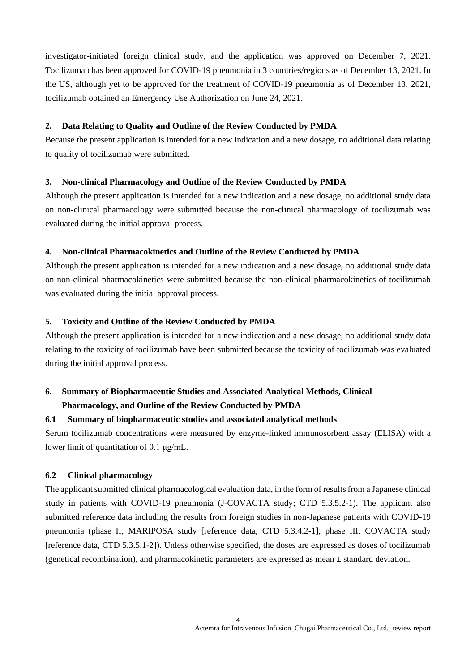investigator-initiated foreign clinical study, and the application was approved on December 7, 2021. Tocilizumab has been approved for COVID-19 pneumonia in 3 countries/regions as of December 13, 2021. In the US, although yet to be approved for the treatment of COVID-19 pneumonia as of December 13, 2021, tocilizumab obtained an Emergency Use Authorization on June 24, 2021.

#### **2. Data Relating to Quality and Outline of the Review Conducted by PMDA**

Because the present application is intended for a new indication and a new dosage, no additional data relating to quality of tocilizumab were submitted.

## **3. Non-clinical Pharmacology and Outline of the Review Conducted by PMDA**

Although the present application is intended for a new indication and a new dosage, no additional study data on non-clinical pharmacology were submitted because the non-clinical pharmacology of tocilizumab was evaluated during the initial approval process.

## **4. Non-clinical Pharmacokinetics and Outline of the Review Conducted by PMDA**

Although the present application is intended for a new indication and a new dosage, no additional study data on non-clinical pharmacokinetics were submitted because the non-clinical pharmacokinetics of tocilizumab was evaluated during the initial approval process.

## **5. Toxicity and Outline of the Review Conducted by PMDA**

Although the present application is intended for a new indication and a new dosage, no additional study data relating to the toxicity of tocilizumab have been submitted because the toxicity of tocilizumab was evaluated during the initial approval process.

## **6. Summary of Biopharmaceutic Studies and Associated Analytical Methods, Clinical**

## **Pharmacology, and Outline of the Review Conducted by PMDA**

## **6.1 Summary of biopharmaceutic studies and associated analytical methods**

Serum tocilizumab concentrations were measured by enzyme-linked immunosorbent assay (ELISA) with a lower limit of quantitation of 0.1 μg/mL.

## **6.2 Clinical pharmacology**

The applicant submitted clinical pharmacological evaluation data, in the form of results from a Japanese clinical study in patients with COVID-19 pneumonia (J-COVACTA study; CTD 5.3.5.2-1). The applicant also submitted reference data including the results from foreign studies in non-Japanese patients with COVID-19 pneumonia (phase II, MARIPOSA study [reference data, CTD 5.3.4.2-1]; phase III, COVACTA study [reference data, CTD 5.3.5.1-2]). Unless otherwise specified, the doses are expressed as doses of tocilizumab (genetical recombination), and pharmacokinetic parameters are expressed as mean  $\pm$  standard deviation.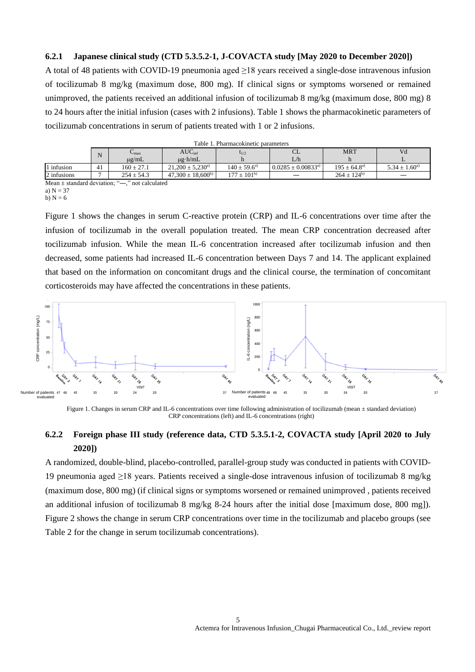#### **6.2.1 Japanese clinical study (CTD 5.3.5.2-1, J-COVACTA study [May 2020 to December 2020])**

A total of 48 patients with COVID-19 pneumonia aged ≥18 years received a single-dose intravenous infusion of tocilizumab 8 mg/kg (maximum dose, 800 mg). If clinical signs or symptoms worsened or remained unimproved, the patients received an additional infusion of tocilizumab 8 mg/kg (maximum dose, 800 mg) 8 to 24 hours after the initial infusion (cases with 2 infusions). Table 1 shows the pharmacokinetic parameters of tocilizumab concentrations in serum of patients treated with 1 or 2 infusions.

|             |                                                                                   | Table T. Filamiacokinetic barameters |                         |                           |                          |                           |                     |  |
|-------------|-----------------------------------------------------------------------------------|--------------------------------------|-------------------------|---------------------------|--------------------------|---------------------------|---------------------|--|
|             | N                                                                                 | $\mathbf{m}$ ax                      | $AUC_{\text{inf}}$      | $t_{1/2}$                 | ◡└                       | <b>MRT</b>                | Vd                  |  |
|             |                                                                                   | $\mu$ g/mL                           | $\mu$ g·h/mL            |                           | L/h                      |                           |                     |  |
| l infusion  | 41                                                                                | $160 \pm 27.1$                       | $21.200 \pm 5.230^{a}$  | $140 \pm 59.6^{\text{a}}$ | $0.0285 \pm 0.00833^{a}$ | $195 \pm 64.8^{\text{a}}$ | $5.34 \pm 1.60^{a}$ |  |
| 2 infusions |                                                                                   | $254 \pm 54.3$                       | $47.300 \pm 18.600^{b}$ | $177 \pm 101^{b}$         |                          | $264 \pm 124^{b}$         |                     |  |
|             | $M_{\rm{max}}$ . The set of $A_{\rm{max}}$ is a set of $M_{\rm{max}}$<br>22.11111 |                                      |                         |                           |                          |                           |                     |  |

|  | Table 1. Pharmacokinetic parameters |  |  |
|--|-------------------------------------|--|--|
|--|-------------------------------------|--|--|

Mean  $\pm$  standard deviation; " $\rightarrow$ ," not calculated a)  $N = 37$ 

b)  $N = 6$ 

Figure 1 shows the changes in serum C-reactive protein (CRP) and IL-6 concentrations over time after the infusion of tocilizumab in the overall population treated. The mean CRP concentration decreased after tocilizumab infusion. While the mean IL-6 concentration increased after tocilizumab infusion and then decreased, some patients had increased IL-6 concentration between Days 7 and 14. The applicant explained that based on the information on concomitant drugs and the clinical course, the termination of concomitant corticosteroids may have affected the concentrations in these patients.



Figure 1. Changes in serum CRP and IL-6 concentrations over time following administration of tocilizumab (mean ± standard deviation) CRP concentrations (left) and IL-6 concentrations (right)

## **6.2.2 Foreign phase III study (reference data, CTD 5.3.5.1-2, COVACTA study [April 2020 to July 2020])**

A randomized, double-blind, placebo-controlled, parallel-group study was conducted in patients with COVID-19 pneumonia aged ≥18 years. Patients received a single-dose intravenous infusion of tocilizumab 8 mg/kg (maximum dose, 800 mg) (if clinical signs or symptoms worsened or remained unimproved , patients received an additional infusion of tocilizumab 8 mg/kg 8-24 hours after the initial dose [maximum dose, 800 mg]). Figure 2 shows the change in serum CRP concentrations over time in the tocilizumab and placebo groups (see Table 2 for the change in serum tocilizumab concentrations).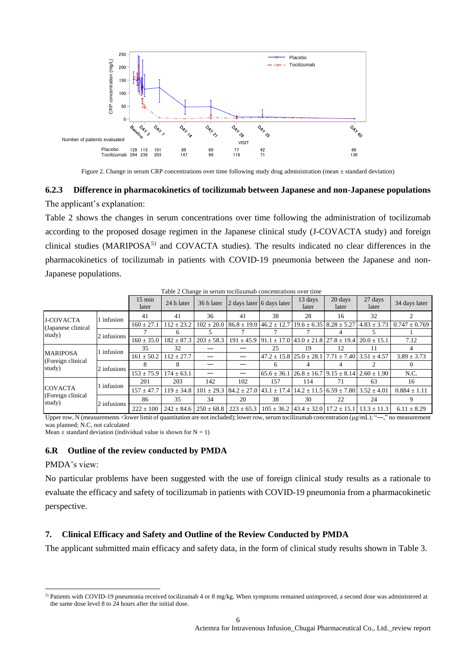

Figure 2. Change in serum CRP concentrations over time following study drug administration (mean  $\pm$  standard deviation)

# **6.2.3 Difference in pharmacokinetics of tocilizumab between Japanese and non-Japanese populations**

The applicant's explanation:

Table 2 shows the changes in serum concentrations over time following the administration of tocilizumab according to the proposed dosage regimen in the Japanese clinical study (J-COVACTA study) and foreign clinical studies (MARIPOSA<sup>5)</sup> and COVACTA studies). The results indicated no clear differences in the pharmacokinetics of tocilizumab in patients with COVID-19 pneumonia between the Japanese and non-Japanese populations.

|                                               |             |                           |                |                | Table 2 Change in serum tochizuniab concentrations over three                       |                                                                                        |                  |                  |                                                                                                             |                                                                   |
|-----------------------------------------------|-------------|---------------------------|----------------|----------------|-------------------------------------------------------------------------------------|----------------------------------------------------------------------------------------|------------------|------------------|-------------------------------------------------------------------------------------------------------------|-------------------------------------------------------------------|
|                                               |             | $15 \text{ min}$<br>later | 24 h later     | 36 h later     | 2 days later 6 days later                                                           |                                                                                        | 13 days<br>later | 20 days<br>later | 27 days<br>later                                                                                            | 34 days later                                                     |
| <b>J-COVACTA</b>                              | 1 infusion  | 41                        | 41             | 36             | 41                                                                                  | 38                                                                                     | 28               | 16               | 32                                                                                                          |                                                                   |
| (Japanese clinical)                           |             | $160 \pm 27.1$            | $112 \pm 23.2$ | $102 \pm 20.0$ | $86.8 \pm 19.0$ 46.2 $\pm$ 12.7                                                     |                                                                                        |                  |                  |                                                                                                             | $19.6 \pm 6.35$ $8.28 \pm 5.27$ $4.83 \pm 3.73$ $0.747 \pm 0.769$ |
| study)                                        | 2 infusions |                           | 6              |                |                                                                                     |                                                                                        |                  |                  |                                                                                                             |                                                                   |
|                                               |             | $160 \pm 35.0$            | $182 \pm 87.3$ | $203 \pm 58.3$ |                                                                                     | $191 \pm 45.9$   91.1 $\pm$ 17.0   43.0 $\pm$ 21.8   27.8 $\pm$ 19.4   20.0 $\pm$ 15.1 |                  |                  |                                                                                                             | 7.12                                                              |
|                                               | 1 infusion  | 35                        | 32             |                |                                                                                     | 25                                                                                     | 19               | 12               | 11                                                                                                          |                                                                   |
| <b>MARIPOSA</b>                               |             | $161 \pm 50.2$            | $112 \pm 27.7$ |                |                                                                                     |                                                                                        |                  |                  | $47.2 \pm 15.8$ $25.0 \pm 28.1$ $7.71 \pm 7.40$ $3.51 \pm 4.57$                                             | $3.89 \pm 3.73$                                                   |
| (Foreign clinical<br>study)                   | 2 infusions |                           |                |                |                                                                                     | 6                                                                                      |                  |                  |                                                                                                             |                                                                   |
|                                               |             | $153 \pm 75.9$            | $174 \pm 63.1$ |                |                                                                                     | $65.6 \pm 36.1$                                                                        |                  |                  | $126.8 \pm 16.7$ 9.15 $\pm$ 8.14 $2.60 \pm 1.90$                                                            | N.C.                                                              |
| <b>COVACTA</b><br>(Foreign clinical<br>study) | 1 infusion  | 201                       | 203            | 142            | 102                                                                                 | 157                                                                                    | 114              | 71               | 63                                                                                                          | 16                                                                |
|                                               |             | $157 \pm 47.7$            | $119 \pm 34.8$ | $101 \pm 29.3$ | $184.2 \pm 27.0$ $143.1 \pm 17.4$ $14.2 \pm 11.5$ $16.59 \pm 7.80$ $13.52 \pm 4.01$ |                                                                                        |                  |                  |                                                                                                             | $0.884 \pm 1.11$                                                  |
|                                               |             | 86                        | 35             | 34             | 20                                                                                  | 38                                                                                     | 30               | 22               | 24                                                                                                          | 9                                                                 |
|                                               | 2 infusions | $222 \pm 100$             |                |                |                                                                                     |                                                                                        |                  |                  | $242 \pm 84.6$ $250 \pm 68.8$ $223 \pm 65.3$ $105 \pm 36.2$ $43.4 \pm 32.0$ $17.2 \pm 15.1$ $13.3 \pm 11.3$ | $6.11 \pm 8.29$                                                   |

Table 2 Change in serum tocilizumab concentrations over time

Upper row, N (measurements <lower limit of quantitation are not included); lower row, serum tocilizumab concentration (μg/mL); "―," no measurement was planned; N.C, not calculated

Mean  $\pm$  standard deviation (individual value is shown for N = 1)

## **6.R Outline of the review conducted by PMDA**

#### PMDA's view:

 $\overline{\phantom{a}}$ 

No particular problems have been suggested with the use of foreign clinical study results as a rationale to evaluate the efficacy and safety of tocilizumab in patients with COVID-19 pneumonia from a pharmacokinetic perspective.

#### **7. Clinical Efficacy and Safety and Outline of the Review Conducted by PMDA**

The applicant submitted main efficacy and safety data, in the form of clinical study results shown in Table 3.

<sup>5)</sup> Patients with COVID-19 pneumonia received tocilizumab 4 or 8 mg/kg. When symptoms remained unimproved, a second dose was administered at the same dose level 8 to 24 hours after the initial dose.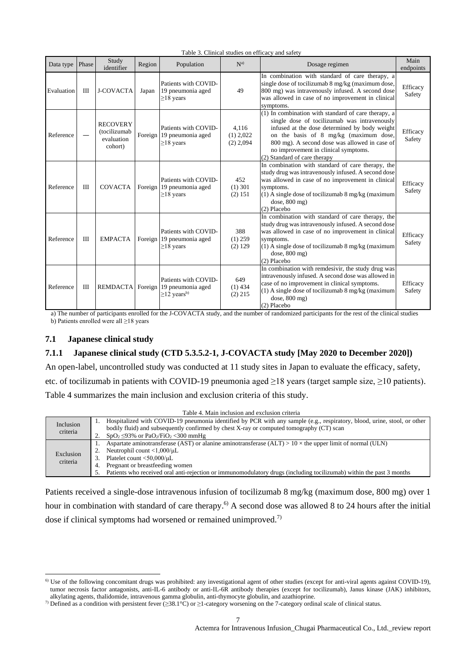| Data type  | Phase | Study<br>identifier                                      | Region  | Population                                                                                  | N <sup>a</sup>                      | Dosage regimen                                                                                                                                                                                                                                                                                                          | Main<br>endpoints  |
|------------|-------|----------------------------------------------------------|---------|---------------------------------------------------------------------------------------------|-------------------------------------|-------------------------------------------------------------------------------------------------------------------------------------------------------------------------------------------------------------------------------------------------------------------------------------------------------------------------|--------------------|
| Evaluation | $\Pi$ | <b>J-COVACTA</b>                                         | Japan   | Patients with COVID-<br>19 pneumonia aged<br>$\geq$ 18 years                                | 49                                  | In combination with standard of care therapy, a<br>single dose of tocilizumab 8 mg/kg (maximum dose,<br>800 mg) was intravenously infused. A second dose<br>was allowed in case of no improvement in clinical<br>symptoms.                                                                                              | Efficacy<br>Safety |
| Reference  |       | <b>RECOVERY</b><br>(tocilizumab<br>evaluation<br>cohort) |         | Patients with COVID-<br>Foreign 19 pneumonia aged<br>$\geq$ 18 years                        | 4,116<br>$(1)$ 2,022<br>$(2)$ 2,094 | (1) In combination with standard of care therapy, a<br>single dose of tocilizumab was intravenously<br>infused at the dose determined by body weight<br>on the basis of 8 mg/kg (maximum dose,<br>800 mg). A second dose was allowed in case of<br>no improvement in clinical symptoms.<br>(2) Standard of care therapy | Efficacy<br>Safety |
| Reference  | III   | <b>COVACTA</b>                                           |         | Patients with COVID-<br>Foreign 19 pneumonia aged<br>$\geq$ 18 years                        | 452<br>$(1)$ 301<br>(2) 151         | In combination with standard of care therapy, the<br>study drug was intravenously infused. A second dose<br>was allowed in case of no improvement in clinical<br>symptoms.<br>$(1)$ A single dose of tocilizumab 8 mg/kg (maximum<br>dose, $800$ mg)<br>(2) Placebo                                                     | Efficacy<br>Safety |
| Reference  | III   | <b>EMPACTA</b>                                           | Foreign | Patients with COVID-<br>19 pneumonia aged<br>$\geq$ 18 years                                | 388<br>$(1)$ 259<br>(2) 129         | In combination with standard of care therapy, the<br>study drug was intravenously infused. A second dose<br>was allowed in case of no improvement in clinical<br>symptoms.<br>$(1)$ A single dose of tocilizumab 8 mg/kg (maximum<br>dose, $800$ mg)<br>(2) Placebo                                                     | Efficacy<br>Safety |
| Reference  | Ш     |                                                          |         | Patients with COVID-<br>REMDACTA Foreign 19 pneumonia aged<br>$\geq$ 12 years <sup>b)</sup> | 649<br>$(1)$ 434<br>$(2)$ 215       | In combination with remdesivir, the study drug was<br>intravenously infused. A second dose was allowed in<br>case of no improvement in clinical symptoms.<br>$(1)$ A single dose of tocilizumab 8 mg/kg (maximum<br>dose, $800$ mg)<br>(2) Placebo                                                                      | Efficacy<br>Safety |

Table 3. Clinical studies on efficacy and safety

a) The number of participants enrolled for the J-COVACTA study, and the number of randomized participants for the rest of the clinical studies b) Patients enrolled were all ≥18 years

## **7.1 Japanese clinical study**

l

#### **7.1.1 Japanese clinical study (CTD 5.3.5.2-1, J-COVACTA study [May 2020 to December 2020])**

An open-label, uncontrolled study was conducted at 11 study sites in Japan to evaluate the efficacy, safety, etc. of tocilizumab in patients with COVID-19 pneumonia aged ≥18 years (target sample size, ≥10 patients). Table 4 summarizes the main inclusion and exclusion criteria of this study.

|           | Table 4. Main inclusion and exclusion criteria                                                                           |
|-----------|--------------------------------------------------------------------------------------------------------------------------|
| Inclusion | Hospitalized with COVID-19 pneumonia identified by PCR with any sample (e.g., respiratory, blood, urine, stool, or other |
| criteria  | bodily fluid) and subsequently confirmed by chest X-ray or computed tomography (CT) scan                                 |
|           | $SpO2 \leq 93\%$ or PaO <sub>2</sub> /FiO <sub>2</sub> < 300 mmHg                                                        |
|           | Aspartate aminotransferase (AST) or alanine aminotransferase (ALT) > $10 \times$ the upper limit of normal (ULN)         |
|           | Neutrophil count $\langle 1,000/\mu L \rangle$                                                                           |
| Exclusion | Platelet count $<$ 50,000/ $\mu$ L<br>3.                                                                                 |
| criteria  | Pregnant or breastfeeding women<br>4.                                                                                    |
|           | Patients who received oral anti-rejection or immunomodulatory drugs (including tocilizumab) within the past 3 months     |
|           |                                                                                                                          |

Patients received a single-dose intravenous infusion of tocilizumab 8 mg/kg (maximum dose, 800 mg) over 1 hour in combination with standard of care therapy.<sup>6)</sup> A second dose was allowed 8 to 24 hours after the initial dose if clinical symptoms had worsened or remained unimproved.<sup>7)</sup>

 $60$  Use of the following concomitant drugs was prohibited: any investigational agent of other studies (except for anti-viral agents against COVID-19), tumor necrosis factor antagonists, anti-IL-6 antibody or anti-IL-6R antibody therapies (except for tocilizumab), Janus kinase (JAK) inhibitors, alkylating agents, thalidomide, intravenous gamma globulin, anti-thymocyte globulin, and azathioprine.

<sup>&</sup>lt;sup>7)</sup> Defined as a condition with persistent fever ( $\geq 38.1^{\circ}$ C) or  $\geq 1$ -category worsening on the 7-category ordinal scale of clinical status.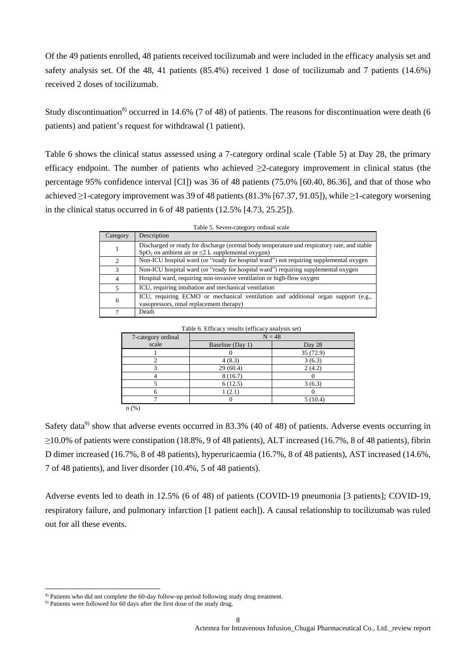Of the 49 patients enrolled, 48 patients received tocilizumab and were included in the efficacy analysis set and safety analysis set. Of the 48, 41 patients (85.4%) received 1 dose of tocilizumab and 7 patients (14.6%) received 2 doses of tocilizumab.

Study discontinuation<sup>8)</sup> occurred in 14.6% (7 of 48) of patients. The reasons for discontinuation were death (6 patients) and patient's request for withdrawal (1 patient).

Table 6 shows the clinical status assessed using a 7-category ordinal scale (Table 5) at Day 28, the primary efficacy endpoint. The number of patients who achieved ≥2-category improvement in clinical status (the percentage 95% confidence interval [CI]) was 36 of 48 patients (75.0% [60.40, 86.36], and that of those who achieved ≥1-category improvement was 39 of 48 patients (81.3% [67.37, 91.05]), while ≥1-category worsening in the clinical status occurred in 6 of 48 patients (12.5% [4.73, 25.25]).

| Category     | Description                                                                                                                                             |  |  |  |  |
|--------------|---------------------------------------------------------------------------------------------------------------------------------------------------------|--|--|--|--|
|              | Discharged or ready for discharge (normal body temperature and respiratory rate, and stable<br>$SpO2$ on ambient air or $\leq$ 2 L supplemental oxygen) |  |  |  |  |
|              | Non-ICU hospital ward (or "ready for hospital ward") not requiring supplemental oxygen                                                                  |  |  |  |  |
| $\mathbf{R}$ | Non-ICU hospital ward (or "ready for hospital ward") requiring supplemental oxygen                                                                      |  |  |  |  |
| 4            | Hospital ward, requiring non-invasive ventilation or high-flow oxygen                                                                                   |  |  |  |  |
|              | ICU, requiring intubation and mechanical ventilation                                                                                                    |  |  |  |  |
| 6            | ICU, requiring ECMO or mechanical ventilation and additional organ support (e.g.,<br>vasopressors, renal replacement therapy)                           |  |  |  |  |

Table 5. Seven-category ordinal scale

| 7-category ordinal | $N = 48$         |           |
|--------------------|------------------|-----------|
| scale              | Baseline (Day 1) | Day 28    |
|                    |                  | 35 (72.9) |
|                    | 4(8.3)           | 3(6.3)    |
|                    | 29(60.4)         | 2(4.2)    |
|                    | 8(16.7)          |           |
|                    | 6(12.5)          | 3(6.3)    |
|                    | 1(2.1)           |           |
|                    |                  | 5(10.4)   |

Table 6. Efficacy results (efficacy analysis set)

Safety data<sup>9)</sup> show that adverse events occurred in 83.3% (40 of 48) of patients. Adverse events occurring in ≥10.0% of patients were constipation (18.8%, 9 of 48 patients), ALT increased (16.7%, 8 of 48 patients), fibrin D dimer increased (16.7%, 8 of 48 patients), hyperuricaemia (16.7%, 8 of 48 patients), AST increased (14.6%, 7 of 48 patients), and liver disorder (10.4%, 5 of 48 patients).

Adverse events led to death in 12.5% (6 of 48) of patients (COVID-19 pneumonia [3 patients]; COVID-19, respiratory failure, and pulmonary infarction [1 patient each]). A causal relationship to tocilizumab was ruled out for all these events.

l

7 Death

<sup>8)</sup> Patients who did not complete the 60-day follow-up period following study drug treatment.

<sup>&</sup>lt;sup>9)</sup> Patients were followed for 60 days after the first dose of the study drug.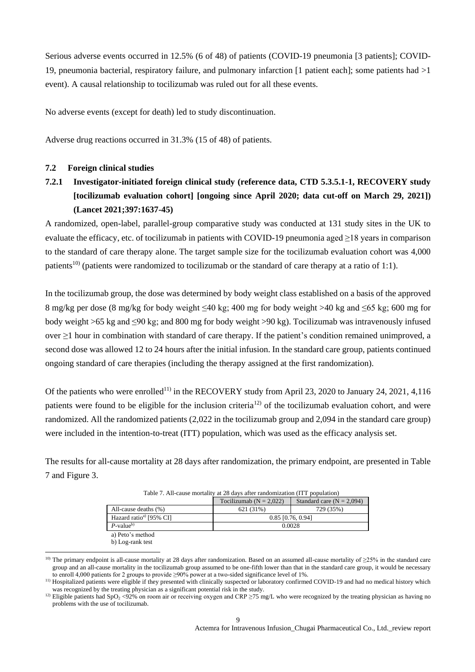Serious adverse events occurred in 12.5% (6 of 48) of patients (COVID-19 pneumonia [3 patients]; COVID-19, pneumonia bacterial, respiratory failure, and pulmonary infarction [1 patient each]; some patients had >1 event). A causal relationship to tocilizumab was ruled out for all these events.

No adverse events (except for death) led to study discontinuation.

Adverse drug reactions occurred in 31.3% (15 of 48) of patients.

#### **7.2 Foreign clinical studies**

# **7.2.1 Investigator-initiated foreign clinical study (reference data, CTD 5.3.5.1-1, RECOVERY study [tocilizumab evaluation cohort] [ongoing since April 2020; data cut-off on March 29, 2021]) (Lancet 2021;397:1637-45)**

A randomized, open-label, parallel-group comparative study was conducted at 131 study sites in the UK to evaluate the efficacy, etc. of tocilizumab in patients with COVID-19 pneumonia aged  $\geq$ 18 years in comparison to the standard of care therapy alone. The target sample size for the tocilizumab evaluation cohort was 4,000 patients<sup>10)</sup> (patients were randomized to tocilizumab or the standard of care therapy at a ratio of 1:1).

In the tocilizumab group, the dose was determined by body weight class established on a basis of the approved 8 mg/kg per dose (8 mg/kg for body weight ≤40 kg; 400 mg for body weight >40 kg and ≤65 kg; 600 mg for body weight >65 kg and ≤90 kg; and 800 mg for body weight >90 kg). Tocilizumab was intravenously infused over  $\geq$ 1 hour in combination with standard of care therapy. If the patient's condition remained unimproved, a second dose was allowed 12 to 24 hours after the initial infusion. In the standard care group, patients continued ongoing standard of care therapies (including the therapy assigned at the first randomization).

Of the patients who were enrolled<sup>11)</sup> in the RECOVERY study from April 23, 2020 to January 24, 2021, 4,116 patients were found to be eligible for the inclusion criteria<sup>12</sup> of the tocilizumab evaluation cohort, and were randomized. All the randomized patients (2,022 in the tocilizumab group and 2,094 in the standard care group) were included in the intention-to-treat (ITT) population, which was used as the efficacy analysis set.

The results for all-cause mortality at 28 days after randomization, the primary endpoint, are presented in Table 7 and Figure 3.

|                                    | Tocilizumab $(N = 2.022)$ | Standard care $(N = 2.094)$ |  |  |  |  |
|------------------------------------|---------------------------|-----------------------------|--|--|--|--|
| All-cause deaths (%)               | 621 (31%)                 | 729 (35%)                   |  |  |  |  |
| Hazard ratio <sup>a</sup> [95% CI] | $0.85$ [0.76, 0.94]       |                             |  |  |  |  |
| $P$ -value <sup>b)</sup>           | 0.0028                    |                             |  |  |  |  |
| a) Data's mathad                   |                           |                             |  |  |  |  |

Table 7. All-cause mortality at 28 days after randomization (ITT population)

a) Peto's method

b) Log-rank test

l

<sup>&</sup>lt;sup>10)</sup> The primary endpoint is all-cause mortality at 28 days after randomization. Based on an assumed all-cause mortality of  $\geq$ 25% in the standard care group and an all-cause mortality in the tocilizumab group assumed to be one-fifth lower than that in the standard care group, it would be necessary to enroll 4,000 patients for 2 groups to provide ≥90% power at a two-sided significance level of 1%.

<sup>&</sup>lt;sup>11)</sup> Hospitalized patients were eligible if they presented with clinically suspected or laboratory confirmed COVID-19 and had no medical history which was recognized by the treating physician as a significant potential risk in the study.

<sup>&</sup>lt;sup>12)</sup> Eligible patients had SpO<sub>2</sub> <92% on room air or receiving oxygen and CRP ≥75 mg/L who were recognized by the treating physician as having no problems with the use of tocilizumab.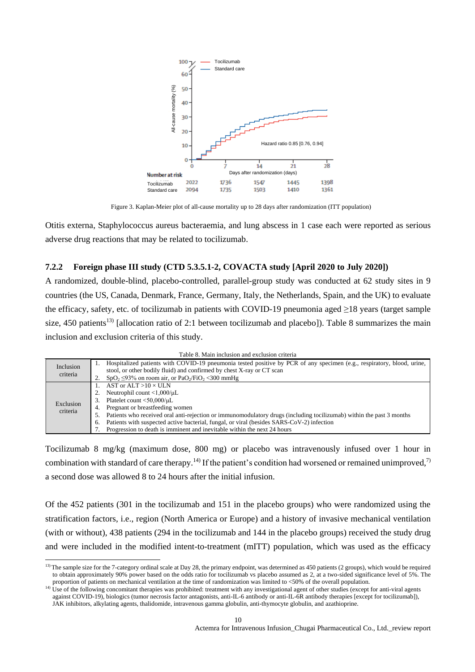

Figure 3. Kaplan-Meier plot of all-cause mortality up to 28 days after randomization (ITT population)

Otitis externa, Staphylococcus aureus bacteraemia, and lung abscess in 1 case each were reported as serious adverse drug reactions that may be related to tocilizumab.

#### **7.2.2 Foreign phase III study (CTD 5.3.5.1-2, COVACTA study [April 2020 to July 2020])**

A randomized, double-blind, placebo-controlled, parallel-group study was conducted at 62 study sites in 9 countries (the US, Canada, Denmark, France, Germany, Italy, the Netherlands, Spain, and the UK) to evaluate the efficacy, safety, etc. of tocilizumab in patients with COVID-19 pneumonia aged  $\geq$ 18 years (target sample size, 450 patients<sup>13)</sup> [allocation ratio of 2:1 between tocilizumab and placebo]). Table 8 summarizes the main inclusion and exclusion criteria of this study.

| Table 8. Main inclusion and exclusion criteria |  |
|------------------------------------------------|--|
|------------------------------------------------|--|

|                       | Taoic o, ivialli mchasion and exclusion chicha                                                                         |
|-----------------------|------------------------------------------------------------------------------------------------------------------------|
| Inclusion<br>criteria | Hospitalized patients with COVID-19 pneumonia tested positive by PCR of any specimen (e.g., respiratory, blood, urine, |
|                       | stool, or other bodily fluid) and confirmed by chest X-ray or CT scan                                                  |
|                       | $SpO_2 \leq 93\%$ on room air, or PaO <sub>2</sub> /FiO <sub>2</sub> < 300 mmHg                                        |
|                       | AST or $ALT > 10 \times ULN$                                                                                           |
|                       | Neutrophil count $\langle 1,000/\mu L \rangle$                                                                         |
| Exclusion             | Platelet count $<$ 50,000/ $\mu$ L                                                                                     |
| criteria              | Pregnant or breastfeeding women<br>4.                                                                                  |
|                       | Patients who received oral anti-rejection or immunomodulatory drugs (including tocilizumab) within the past 3 months   |
|                       | Patients with suspected active bacterial, fungal, or viral (besides SARS-CoV-2) infection<br>6.                        |
|                       | Progression to death is imminent and inevitable within the next 24 hours                                               |

Tocilizumab 8 mg/kg (maximum dose, 800 mg) or placebo was intravenously infused over 1 hour in combination with standard of care therapy.<sup>14)</sup> If the patient's condition had worsened or remained unimproved,<sup>7)</sup> a second dose was allowed 8 to 24 hours after the initial infusion.

Of the 452 patients (301 in the tocilizumab and 151 in the placebo groups) who were randomized using the stratification factors, i.e., region (North America or Europe) and a history of invasive mechanical ventilation (with or without), 438 patients (294 in the tocilizumab and 144 in the placebo groups) received the study drug and were included in the modified intent-to-treatment (mITT) population, which was used as the efficacy

l

<sup>&</sup>lt;sup>13)</sup>The sample size for the 7-category ordinal scale at Day 28, the primary endpoint, was determined as 450 patients (2 groups), which would be required to obtain approximately 90% power based on the odds ratio for tocilizumab vs placebo assumed as 2, at a two-sided significance level of 5%. The proportion of patients on mechanical ventilation at the time of randomization was limited to <50% of the overall population.

<sup>&</sup>lt;sup>14)</sup> Use of the following concomitant therapies was prohibited: treatment with any investigational agent of other studies (except for anti-viral agents against COVID-19), biologics (tumor necrosis factor antagonists, anti-IL-6 antibody or anti-IL-6R antibody therapies [except for tocilizumab]), JAK inhibitors, alkylating agents, thalidomide, intravenous gamma globulin, anti-thymocyte globulin, and azathioprine.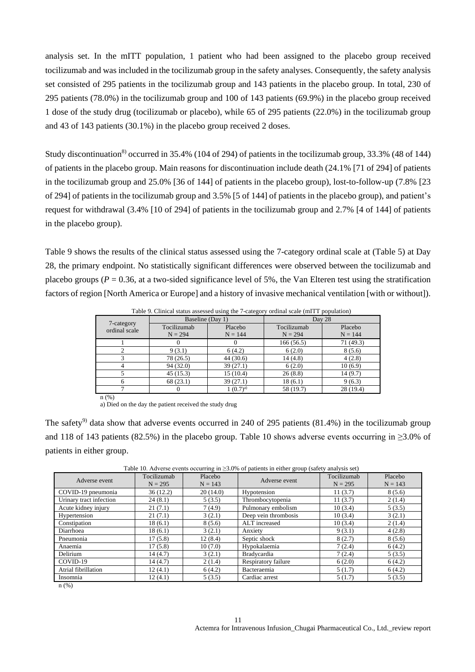analysis set. In the mITT population, 1 patient who had been assigned to the placebo group received tocilizumab and was included in the tocilizumab group in the safety analyses. Consequently, the safety analysis set consisted of 295 patients in the tocilizumab group and 143 patients in the placebo group. In total, 230 of 295 patients (78.0%) in the tocilizumab group and 100 of 143 patients (69.9%) in the placebo group received 1 dose of the study drug (tocilizumab or placebo), while 65 of 295 patients (22.0%) in the tocilizumab group and 43 of 143 patients (30.1%) in the placebo group received 2 doses.

Study discontinuation<sup>8)</sup> occurred in 35.4% (104 of 294) of patients in the tocilizumab group, 33.3% (48 of 144) of patients in the placebo group. Main reasons for discontinuation include death (24.1% [71 of 294] of patients in the tocilizumab group and 25.0% [36 of 144] of patients in the placebo group), lost-to-follow-up (7.8% [23 of 294] of patients in the tocilizumab group and 3.5% [5 of 144] of patients in the placebo group), and patient's request for withdrawal (3.4% [10 of 294] of patients in the tocilizumab group and 2.7% [4 of 144] of patients in the placebo group).

Table 9 shows the results of the clinical status assessed using the 7-category ordinal scale at (Table 5) at Day 28, the primary endpoint. No statistically significant differences were observed between the tocilizumab and placebo groups ( $P = 0.36$ , at a two-sided significance level of 5%, the Van Elteren test using the stratification factors of region [North America or Europe] and a history of invasive mechanical ventilation [with or without]).

|                             | Baseline (Day 1) |                        | Day 28      |           |  |
|-----------------------------|------------------|------------------------|-------------|-----------|--|
| 7-category<br>ordinal scale | Tocilizumab      | Placebo                | Tocilizumab | Placebo   |  |
|                             | $N = 294$        | $N = 144$              | $N = 294$   | $N = 144$ |  |
|                             |                  |                        | 166(56.5)   | 71 (49.3) |  |
|                             | 9(3.1)           | 6(4.2)                 | 6(2.0)      | 8(5.6)    |  |
|                             | 78 (26.5)        | 44(30.6)               | 14(4.8)     | 4(2.8)    |  |
|                             | 94(32.0)         | 39(27.1)               | 6(2.0)      | 10(6.9)   |  |
|                             | 45(15.3)         | 15(10.4)               | 26(8.8)     | 14 (9.7)  |  |
|                             | 68(23.1)         | 39(27.1)               | 18(6.1)     | 9(6.3)    |  |
|                             |                  | $1(0.7)$ <sup>a)</sup> | 58 (19.7)   | 28(19.4)  |  |

Table 9. Clinical status assessed using the 7-category ordinal scale (mITT population)

n (%)

a) Died on the day the patient received the study drug

The safety<sup>9)</sup> data show that adverse events occurred in 240 of 295 patients  $(81.4%)$  in the tocilizumab group and 118 of 143 patients (82.5%) in the placebo group. Table 10 shows adverse events occurring in ≥3.0% of patients in either group.

| Adverse event           | Tocilizumab<br>$N = 295$ | Placebo<br>$N = 143$ | Adverse event        | Tocilizumab<br>$N = 295$ | Placebo<br>$N = 143$ |
|-------------------------|--------------------------|----------------------|----------------------|--------------------------|----------------------|
| COVID-19 pneumonia      | 36(12.2)                 | 20(14.0)             | Hypotension          | 11(3.7)                  | 8(5.6)               |
| Urinary tract infection | 24(8.1)                  | 5(3.5)               | Thrombocytopenia     | 11(3.7)                  | 2(1.4)               |
| Acute kidney injury     | 21(7.1)                  | 7(4.9)               | Pulmonary embolism   | 10(3.4)                  | 5(3.5)               |
| Hypertension            | 21(7.1)                  | 3(2.1)               | Deep vein thrombosis | 10(3.4)                  | 3(2.1)               |
| Constipation            | 18(6.1)                  | 8(5.6)               | ALT increased        | 10(3.4)                  | 2(1.4)               |
| Diarrhoea               | 18(6.1)                  | 3(2.1)               | Anxiety              | 9(3.1)                   | 4(2.8)               |
| Pneumonia               | 17(5.8)                  | 12(8.4)              | Septic shock         | 8(2.7)                   | 8(5.6)               |
| Anaemia                 | 17(5.8)                  | 10(7.0)              | Hypokalaemia         | 7(2.4)                   | 6(4.2)               |
| Delirium                | 14(4.7)                  | 3(2.1)               | <b>Bradycardia</b>   | 7(2.4)                   | 5(3.5)               |
| COVID-19                | 14(4.7)                  | 2(1.4)               | Respiratory failure  | 6(2.0)                   | 6(4.2)               |
| Atrial fibrillation     | 12(4.1)                  | 6(4.2)               | Bacteraemia          | 5(1.7)                   | 6(4.2)               |
| Insomnia                | 12(4.1)                  | 5(3.5)               | Cardiac arrest       | 5(1.7)                   | 5(3.5)               |
| $n$ (%)                 |                          |                      |                      |                          |                      |

Table 10. Adverse events occurring in ≥3.0% of patients in either group (safety analysis set)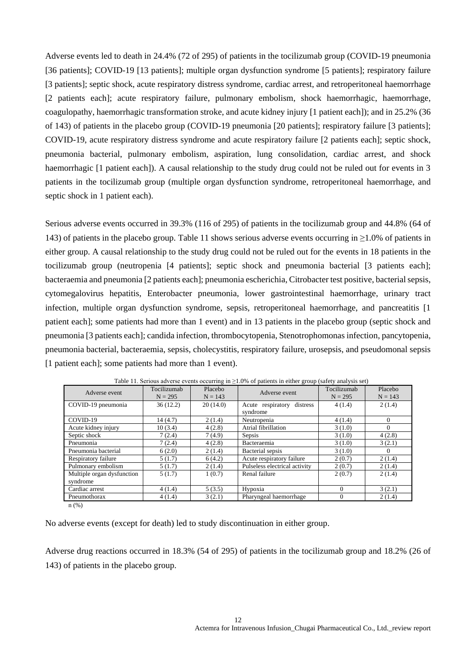Adverse events led to death in 24.4% (72 of 295) of patients in the tocilizumab group (COVID-19 pneumonia [36 patients]; COVID-19 [13 patients]; multiple organ dysfunction syndrome [5 patients]; respiratory failure [3 patients]; septic shock, acute respiratory distress syndrome, cardiac arrest, and retroperitoneal haemorrhage [2 patients each]; acute respiratory failure, pulmonary embolism, shock haemorrhagic, haemorrhage, coagulopathy, haemorrhagic transformation stroke, and acute kidney injury [1 patient each]); and in 25.2% (36 of 143) of patients in the placebo group (COVID-19 pneumonia [20 patients]; respiratory failure [3 patients]; COVID-19, acute respiratory distress syndrome and acute respiratory failure [2 patients each]; septic shock, pneumonia bacterial, pulmonary embolism, aspiration, lung consolidation, cardiac arrest, and shock haemorrhagic [1 patient each]). A causal relationship to the study drug could not be ruled out for events in 3 patients in the tocilizumab group (multiple organ dysfunction syndrome, retroperitoneal haemorrhage, and septic shock in 1 patient each).

Serious adverse events occurred in 39.3% (116 of 295) of patients in the tocilizumab group and 44.8% (64 of 143) of patients in the placebo group. Table 11 shows serious adverse events occurring in ≥1.0% of patients in either group. A causal relationship to the study drug could not be ruled out for the events in 18 patients in the tocilizumab group (neutropenia [4 patients]; septic shock and pneumonia bacterial [3 patients each]; bacteraemia and pneumonia [2 patients each]; pneumonia escherichia, Citrobacter test positive, bacterial sepsis, cytomegalovirus hepatitis, Enterobacter pneumonia, lower gastrointestinal haemorrhage, urinary tract infection, multiple organ dysfunction syndrome, sepsis, retroperitoneal haemorrhage, and pancreatitis [1 patient each]; some patients had more than 1 event) and in 13 patients in the placebo group (septic shock and pneumonia [3 patients each]; candida infection, thrombocytopenia, Stenotrophomonas infection, pancytopenia, pneumonia bacterial, bacteraemia, sepsis, cholecystitis, respiratory failure, urosepsis, and pseudomonal sepsis [1 patient each]; some patients had more than 1 event).

| Adverse event              | Tocilizumab<br>$N = 295$ | Placebo<br>$N = 143$ | Adverse event                 | Tocilizumab<br>$N = 295$ | Placebo<br>$N = 143$ |
|----------------------------|--------------------------|----------------------|-------------------------------|--------------------------|----------------------|
| COVID-19 pneumonia         | 36(12.2)                 | 20(14.0)             | Acute respiratory<br>distress | 4(1.4)                   | 2(1.4)               |
|                            |                          |                      | syndrome                      |                          |                      |
| COVID-19                   | 14(4.7)                  | 2(1.4)               | Neutropenia                   | 4(1.4)                   | $\Omega$             |
| Acute kidney injury        | 10(3.4)                  | 4(2.8)               | Atrial fibrillation           | 3(1.0)                   | $\Omega$             |
| Septic shock               | 7(2.4)                   | 7(4.9)               | Sepsis                        | 3(1.0)                   | 4(2.8)               |
| Pneumonia                  | 7(2.4)                   | 4(2.8)               | Bacteraemia                   | 3(1.0)                   | 3(2.1)               |
| Pneumonia bacterial        | 6(2.0)                   | 2(1.4)               | Bacterial sepsis              | 3(1.0)                   | $\theta$             |
| Respiratory failure        | 5(1.7)                   | 6(4.2)               | Acute respiratory failure     | 2(0.7)                   | 2(1.4)               |
| Pulmonary embolism         | 5(1.7)                   | 2(1.4)               | Pulseless electrical activity | 2(0.7)                   | 2(1.4)               |
| Multiple organ dysfunction | 5(1.7)                   | 1(0.7)               | Renal failure                 | 2(0.7)                   | 2(1.4)               |
| syndrome                   |                          |                      |                               |                          |                      |
| Cardiac arrest             | 4(1.4)                   | 5(3.5)               | Hypoxia                       | $\Omega$                 | 3(2.1)               |
| Pneumothorax               | 4(1.4)                   | 3(2.1)               | Pharyngeal haemorrhage        | $\Omega$                 | 2(1.4)               |
| (0/2)                      |                          |                      |                               |                          |                      |

Table 11. Serious adverse events occurring in  $\geq$ 1.0% of patients in either group (safety analysis set)

n (%)

No adverse events (except for death) led to study discontinuation in either group.

Adverse drug reactions occurred in 18.3% (54 of 295) of patients in the tocilizumab group and 18.2% (26 of 143) of patients in the placebo group.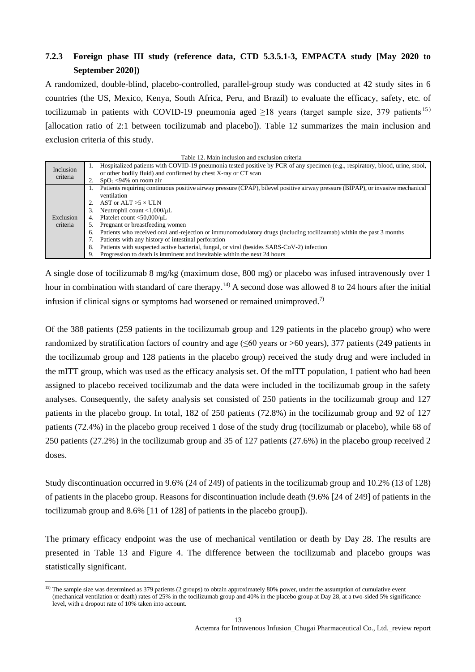# **7.2.3 Foreign phase III study (reference data, CTD 5.3.5.1-3, EMPACTA study [May 2020 to September 2020])**

A randomized, double-blind, placebo-controlled, parallel-group study was conducted at 42 study sites in 6 countries (the US, Mexico, Kenya, South Africa, Peru, and Brazil) to evaluate the efficacy, safety, etc. of tocilizumab in patients with COVID-19 pneumonia aged  $\geq$ 18 years (target sample size, 379 patients <sup>15)</sup> [allocation ratio of 2:1 between tocilizumab and placebo]). Table 12 summarizes the main inclusion and exclusion criteria of this study.

|  |  | Table 12. Main inclusion and exclusion criteria |  |
|--|--|-------------------------------------------------|--|
|  |  |                                                 |  |

| Inclusion | Hospitalized patients with COVID-19 pneumonia tested positive by PCR of any specimen (e.g., respiratory, blood, urine, stool,<br>Ι. |
|-----------|-------------------------------------------------------------------------------------------------------------------------------------|
| criteria  | or other bodily fluid) and confirmed by chest X-ray or CT scan                                                                      |
|           | $SpO_2$ <94% on room air                                                                                                            |
|           | Patients requiring continuous positive airway pressure (CPAP), bilevel positive airway pressure (BIPAP), or invasive mechanical     |
|           | ventilation                                                                                                                         |
|           | AST or ALT $>5 \times$ ULN                                                                                                          |
|           | Neutrophil count $<$ 1,000/ $\mu$ L                                                                                                 |
| Exclusion | Platelet count $<$ 50,000/ $\mu$ L                                                                                                  |
| criteria  | Pregnant or breastfeeding women                                                                                                     |
|           | Patients who received oral anti-rejection or immunomodulatory drugs (including tocilizumab) within the past 3 months<br>6.          |
|           | Patients with any history of intestinal perforation                                                                                 |
|           | Patients with suspected active bacterial, fungal, or viral (besides SARS-CoV-2) infection<br>8.                                     |
|           | Progression to death is imminent and inevitable within the next 24 hours                                                            |

A single dose of tocilizumab 8 mg/kg (maximum dose, 800 mg) or placebo was infused intravenously over 1 hour in combination with standard of care therapy.<sup>14)</sup> A second dose was allowed 8 to 24 hours after the initial infusion if clinical signs or symptoms had worsened or remained unimproved.<sup>7)</sup>

Of the 388 patients (259 patients in the tocilizumab group and 129 patients in the placebo group) who were randomized by stratification factors of country and age  $(\leq 60$  years or >60 years), 377 patients (249 patients in the tocilizumab group and 128 patients in the placebo group) received the study drug and were included in the mITT group, which was used as the efficacy analysis set. Of the mITT population, 1 patient who had been assigned to placebo received tocilizumab and the data were included in the tocilizumab group in the safety analyses. Consequently, the safety analysis set consisted of 250 patients in the tocilizumab group and 127 patients in the placebo group. In total, 182 of 250 patients (72.8%) in the tocilizumab group and 92 of 127 patients (72.4%) in the placebo group received 1 dose of the study drug (tocilizumab or placebo), while 68 of 250 patients (27.2%) in the tocilizumab group and 35 of 127 patients (27.6%) in the placebo group received 2 doses.

Study discontinuation occurred in 9.6% (24 of 249) of patients in the tocilizumab group and 10.2% (13 of 128) of patients in the placebo group. Reasons for discontinuation include death (9.6% [24 of 249] of patients in the tocilizumab group and 8.6% [11 of 128] of patients in the placebo group]).

The primary efficacy endpoint was the use of mechanical ventilation or death by Day 28. The results are presented in Table 13 and Figure 4. The difference between the tocilizumab and placebo groups was statistically significant.

l

<sup>&</sup>lt;sup>15)</sup> The sample size was determined as 379 patients (2 groups) to obtain approximately 80% power, under the assumption of cumulative event (mechanical ventilation or death) rates of 25% in the tocilizumab group and 40% in the placebo group at Day 28, at a two-sided 5% significance level, with a dropout rate of 10% taken into account.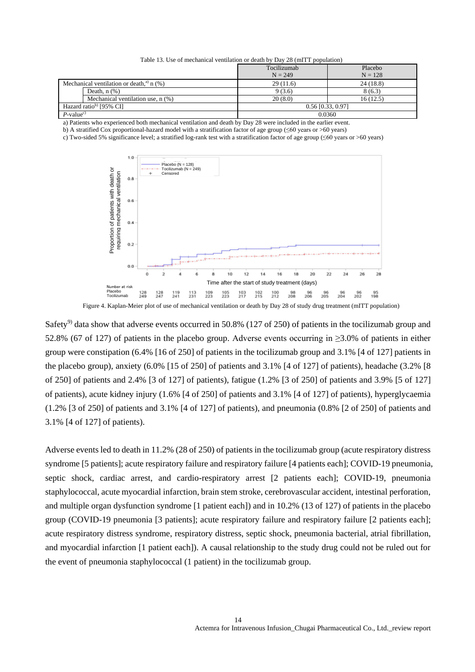| Table 13. Use of mechanical ventilation or death by Day 28 (mITT population) |  |  |  |
|------------------------------------------------------------------------------|--|--|--|
|------------------------------------------------------------------------------|--|--|--|

|                                    |                                                        | Tocilizumab | Placebo             |  |  |
|------------------------------------|--------------------------------------------------------|-------------|---------------------|--|--|
|                                    |                                                        | $N = 249$   | $N = 128$           |  |  |
|                                    | Mechanical ventilation or death, <sup>a)</sup> $n$ (%) | 29(11.6)    | 24(18.8)            |  |  |
|                                    | Death, $n$ $(\%)$                                      | 9(3.6)      | 8(6.3)              |  |  |
|                                    | Mechanical ventilation use, $n$ $(\%)$                 | 20(8.0)     | 16(12.5)            |  |  |
| Hazard ratio <sup>b</sup> [95% CI] |                                                        |             | $0.56$ [0.33, 0.97] |  |  |
| $P$ -value <sup>c)</sup>           |                                                        |             | 0.0360              |  |  |

a) Patients who experienced both mechanical ventilation and death by Day 28 were included in the earlier event.

b) A stratified Cox proportional-hazard model with a stratification factor of age group ( $\leq 60$  years or  $> 60$  years)

c) Two-sided 5% significance level; a stratified log-rank test with a stratification factor of age group ( $\leq 60$  years or >60 years)



Figure 4. Kaplan-Meier plot of use of mechanical ventilation or death by Day 28 of study drug treatment (mITT population)

Safety<sup>9)</sup> data show that adverse events occurred in 50.8% (127 of 250) of patients in the tocilizumab group and 52.8% (67 of 127) of patients in the placebo group. Adverse events occurring in ≥3.0% of patients in either group were constipation (6.4% [16 of 250] of patients in the tocilizumab group and 3.1% [4 of 127] patients in the placebo group), anxiety (6.0% [15 of 250] of patients and 3.1% [4 of 127] of patients), headache (3.2% [8 of 250] of patients and 2.4% [3 of 127] of patients), fatigue (1.2% [3 of 250] of patients and 3.9% [5 of 127] of patients), acute kidney injury (1.6% [4 of 250] of patients and 3.1% [4 of 127] of patients), hyperglycaemia (1.2% [3 of 250] of patients and 3.1% [4 of 127] of patients), and pneumonia (0.8% [2 of 250] of patients and 3.1% [4 of 127] of patients).

Adverse events led to death in 11.2% (28 of 250) of patients in the tocilizumab group (acute respiratory distress syndrome [5 patients]; acute respiratory failure and respiratory failure [4 patients each]; COVID-19 pneumonia, septic shock, cardiac arrest, and cardio-respiratory arrest [2 patients each]; COVID-19, pneumonia staphylococcal, acute myocardial infarction, brain stem stroke, cerebrovascular accident, intestinal perforation, and multiple organ dysfunction syndrome [1 patient each]) and in 10.2% (13 of 127) of patients in the placebo group (COVID-19 pneumonia [3 patients]; acute respiratory failure and respiratory failure [2 patients each]; acute respiratory distress syndrome, respiratory distress, septic shock, pneumonia bacterial, atrial fibrillation, and myocardial infarction [1 patient each]). A causal relationship to the study drug could not be ruled out for the event of pneumonia staphylococcal (1 patient) in the tocilizumab group.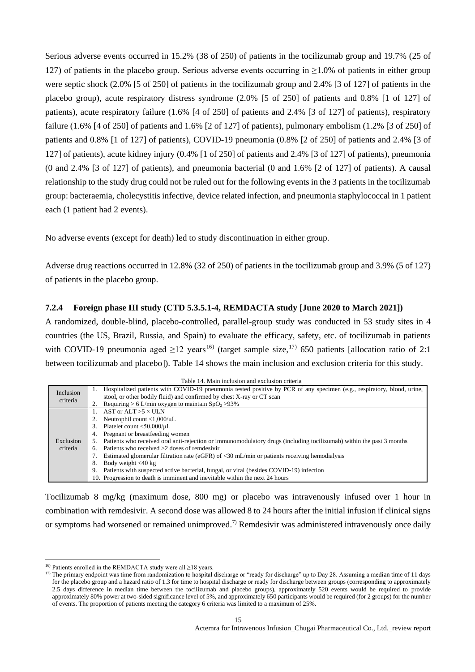Serious adverse events occurred in 15.2% (38 of 250) of patients in the tocilizumab group and 19.7% (25 of 127) of patients in the placebo group. Serious adverse events occurring in ≥1.0% of patients in either group were septic shock (2.0% [5 of 250] of patients in the tocilizumab group and 2.4% [3 of 127] of patients in the placebo group), acute respiratory distress syndrome (2.0% [5 of 250] of patients and 0.8% [1 of 127] of patients), acute respiratory failure (1.6% [4 of 250] of patients and 2.4% [3 of 127] of patients), respiratory failure (1.6%  $[4$  of 250] of patients and 1.6%  $[2$  of 127] of patients), pulmonary embolism (1.2%  $[3$  of 250] of patients and 0.8% [1 of 127] of patients), COVID-19 pneumonia (0.8% [2 of 250] of patients and 2.4% [3 of 127] of patients), acute kidney injury (0.4% [1 of 250] of patients and 2.4% [3 of 127] of patients), pneumonia (0 and 2.4% [3 of 127] of patients), and pneumonia bacterial (0 and 1.6% [2 of 127] of patients). A causal relationship to the study drug could not be ruled out for the following events in the 3 patients in the tocilizumab group: bacteraemia, cholecystitis infective, device related infection, and pneumonia staphylococcal in 1 patient each (1 patient had 2 events).

No adverse events (except for death) led to study discontinuation in either group.

Adverse drug reactions occurred in 12.8% (32 of 250) of patients in the tocilizumab group and 3.9% (5 of 127) of patients in the placebo group.

## **7.2.4 Foreign phase III study (CTD 5.3.5.1-4, REMDACTA study [June 2020 to March 2021])**

A randomized, double-blind, placebo-controlled, parallel-group study was conducted in 53 study sites in 4 countries (the US, Brazil, Russia, and Spain) to evaluate the efficacy, safety, etc. of tocilizumab in patients with COVID-19 pneumonia aged  $\geq$ 12 years<sup>16)</sup> (target sample size,<sup>17)</sup> 650 patients [allocation ratio of 2:1 between tocilizumab and placebo]). Table 14 shows the main inclusion and exclusion criteria for this study.

|           | Table 14. Main inclusion and exclusion criteria                                                                                       |
|-----------|---------------------------------------------------------------------------------------------------------------------------------------|
| Inclusion | Hospitalized patients with COVID-19 pneumonia tested positive by PCR of any specimen (e.g., respiratory, blood, urine,<br>Ι.          |
| criteria  | stool, or other bodily fluid) and confirmed by chest X-ray or CT scan                                                                 |
|           | Requiring > 6 L/min oxygen to maintain $SpO2$ >93%<br>2.                                                                              |
|           | AST or ALT $>5 \times$ ULN                                                                                                            |
|           | Neutrophil count $<$ 1,000/ $\mu$ L                                                                                                   |
|           | Platelet count $<$ 50,000/ $\mu$ L<br>3.                                                                                              |
|           | Pregnant or breastfeeding women<br>4.                                                                                                 |
| Exclusion | Patients who received oral anti-rejection or immunomodulatory drugs (including tocilizumab) within the past 3 months<br>$\mathcal{L}$ |
| criteria  | Patients who received $>2$ doses of remdesivir                                                                                        |
|           | Estimated glomerular filtration rate (eGFR) of $\langle 30 \text{ mL/min}$ or patients receiving hemodialysis                         |
|           | Body weight $<$ 40 kg<br>8.                                                                                                           |
|           | Patients with suspected active bacterial, fungal, or viral (besides COVID-19) infection<br>9.                                         |
|           | 10. Progression to death is imminent and inevitable within the next 24 hours                                                          |

Tocilizumab 8 mg/kg (maximum dose, 800 mg) or placebo was intravenously infused over 1 hour in combination with remdesivir. A second dose was allowed 8 to 24 hours after the initial infusion if clinical signs or symptoms had worsened or remained unimproved.<sup>7)</sup> Remdesivir was administered intravenously once daily

l

<sup>&</sup>lt;sup>16)</sup> Patients enrolled in the REMDACTA study were all  $\geq$ 18 years.

 $17$ ) The primary endpoint was time from randomization to hospital discharge or "ready for discharge" up to Day 28. Assuming a median time of 11 days for the placebo group and a hazard ratio of 1.3 for time to hospital discharge or ready for discharge between groups (corresponding to approximately 2.5 days difference in median time between the tocilizumab and placebo groups), approximately 520 events would be required to provide approximately 80% power at two-sided significance level of 5%, and approximately 650 participants would be required (for 2 groups) for the number of events. The proportion of patients meeting the category 6 criteria was limited to a maximum of 25%.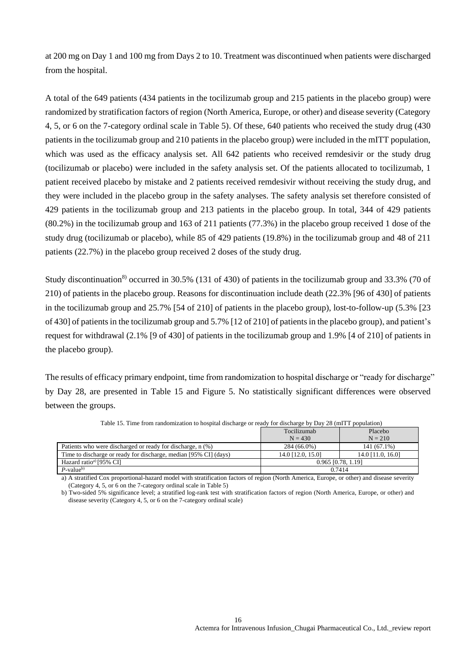at 200 mg on Day 1 and 100 mg from Days 2 to 10. Treatment was discontinued when patients were discharged from the hospital.

A total of the 649 patients (434 patients in the tocilizumab group and 215 patients in the placebo group) were randomized by stratification factors of region (North America, Europe, or other) and disease severity (Category 4, 5, or 6 on the 7-category ordinal scale in Table 5). Of these, 640 patients who received the study drug (430 patients in the tocilizumab group and 210 patients in the placebo group) were included in the mITT population, which was used as the efficacy analysis set. All 642 patients who received remdesivir or the study drug (tocilizumab or placebo) were included in the safety analysis set. Of the patients allocated to tocilizumab, 1 patient received placebo by mistake and 2 patients received remdesivir without receiving the study drug, and they were included in the placebo group in the safety analyses. The safety analysis set therefore consisted of 429 patients in the tocilizumab group and 213 patients in the placebo group. In total, 344 of 429 patients (80.2%) in the tocilizumab group and 163 of 211 patients (77.3%) in the placebo group received 1 dose of the study drug (tocilizumab or placebo), while 85 of 429 patients (19.8%) in the tocilizumab group and 48 of 211 patients (22.7%) in the placebo group received 2 doses of the study drug.

Study discontinuation<sup>8)</sup> occurred in 30.5% (131 of 430) of patients in the tocilizumab group and 33.3% (70 of 210) of patients in the placebo group. Reasons for discontinuation include death (22.3% [96 of 430] of patients in the tocilizumab group and 25.7% [54 of 210] of patients in the placebo group), lost-to-follow-up (5.3% [23 of 430] of patients in the tocilizumab group and 5.7% [12 of 210] of patients in the placebo group), and patient's request for withdrawal (2.1% [9 of 430] of patients in the tocilizumab group and 1.9% [4 of 210] of patients in the placebo group).

The results of efficacy primary endpoint, time from randomization to hospital discharge or "ready for discharge" by Day 28, are presented in Table 15 and Figure 5. No statistically significant differences were observed between the groups.

|                                                                  | Tocilizumab          | Placebo           |  |
|------------------------------------------------------------------|----------------------|-------------------|--|
|                                                                  | $N = 430$            | $N = 210$         |  |
| Patients who were discharged or ready for discharge, n (%)       | 284 (66.0%)          | $141(67.1\%)$     |  |
| Time to discharge or ready for discharge, median [95% CI] (days) | 14.0 [12.0, 15.0]    | 14.0 [11.0, 16.0] |  |
| Hazard ratio <sup>a</sup> [95% CI]                               | $0.965$ [0.78, 1.19] |                   |  |
| $P$ -value <sup>b)</sup>                                         | 0.7414               |                   |  |

Table 15. Time from randomization to hospital discharge or ready for discharge by Day 28 (mITT population)

a) A stratified Cox proportional-hazard model with stratification factors of region (North America, Europe, or other) and disease severity (Category 4, 5, or 6 on the 7-category ordinal scale in Table 5)

b) Two-sided 5% significance level; a stratified log-rank test with stratification factors of region (North America, Europe, or other) and disease severity (Category 4, 5, or 6 on the 7-category ordinal scale)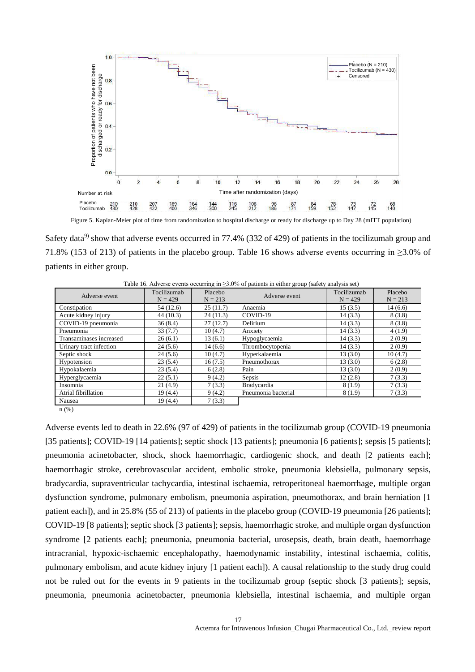

Figure 5. Kaplan-Meier plot of time from randomization to hospital discharge or ready for discharge up to Day 28 (mITT population)

Safety data<sup>9</sup> show that adverse events occurred in 77.4% (332 of 429) of patients in the tocilizumab group and 71.8% (153 of 213) of patients in the placebo group. Table 16 shows adverse events occurring in ≥3.0% of patients in either group.

| Adverse event           | Tocilizumab<br>$N = 429$ | Placebo<br>$N = 213$ | Adverse event       | Tocilizumab<br>$N = 429$ | Placebo<br>$N = 213$ |
|-------------------------|--------------------------|----------------------|---------------------|--------------------------|----------------------|
| Constipation            | 54 (12.6)                | 25(11.7)             | Anaemia             | 15(3.5)                  | 14(6.6)              |
| Acute kidney injury     | 44 (10.3)                | 24(11.3)             | COVID-19            | 14(3.3)                  | 8(3.8)               |
| COVID-19 pneumonia      | 36(8.4)                  | 27(12.7)             | Delirium            | 14(3.3)                  | 8(3.8)               |
| Pneumonia               | 33(7.7)                  | 10(4.7)              | Anxiety             | 14(3.3)                  | 4(1.9)               |
| Transaminases increased | 26(6.1)                  | 13(6.1)              | Hypoglycaemia       | 14(3.3)                  | 2(0.9)               |
| Urinary tract infection | 24(5.6)                  | 14(6.6)              | Thrombocytopenia    | 14(3.3)                  | 2(0.9)               |
| Septic shock            | 24(5.6)                  | 10(4.7)              | Hyperkalaemia       | 13(3.0)                  | 10(4.7)              |
| Hypotension             | 23(5.4)                  | 16(7.5)              | Pneumothorax        | 13(3.0)                  | 6(2.8)               |
| Hypokalaemia            | 23(5.4)                  | 6(2.8)               | Pain                | 13(3.0)                  | 2(0.9)               |
| Hyperglycaemia          | 22(5.1)                  | 9(4.2)               | Sepsis              | 12(2.8)                  | 7(3.3)               |
| Insomnia                | 21(4.9)                  | 7(3.3)               | <b>Bradycardia</b>  | 8(1.9)                   | 7(3.3)               |
| Atrial fibrillation     | 19(4.4)                  | 9(4.2)               | Pneumonia bacterial | 8(1.9)                   | 7(3.3)               |
| Nausea                  | 19(4.4)                  | 7(3.3)               |                     |                          |                      |

Table 16. Adverse events occurring in  $\geq 3.0\%$  of patients in either group (safety analysis set)

n (%)

Adverse events led to death in 22.6% (97 of 429) of patients in the tocilizumab group (COVID-19 pneumonia [35 patients]; COVID-19 [14 patients]; septic shock [13 patients]; pneumonia [6 patients]; sepsis [5 patients]; pneumonia acinetobacter, shock, shock haemorrhagic, cardiogenic shock, and death [2 patients each]; haemorrhagic stroke, cerebrovascular accident, embolic stroke, pneumonia klebsiella, pulmonary sepsis, bradycardia, supraventricular tachycardia, intestinal ischaemia, retroperitoneal haemorrhage, multiple organ dysfunction syndrome, pulmonary embolism, pneumonia aspiration, pneumothorax, and brain herniation [1 patient each]), and in 25.8% (55 of 213) of patients in the placebo group (COVID-19 pneumonia [26 patients]; COVID-19 [8 patients]; septic shock [3 patients]; sepsis, haemorrhagic stroke, and multiple organ dysfunction syndrome [2 patients each]; pneumonia, pneumonia bacterial, urosepsis, death, brain death, haemorrhage intracranial, hypoxic-ischaemic encephalopathy, haemodynamic instability, intestinal ischaemia, colitis, pulmonary embolism, and acute kidney injury [1 patient each]). A causal relationship to the study drug could not be ruled out for the events in 9 patients in the tocilizumab group (septic shock [3 patients]; sepsis, pneumonia, pneumonia acinetobacter, pneumonia klebsiella, intestinal ischaemia, and multiple organ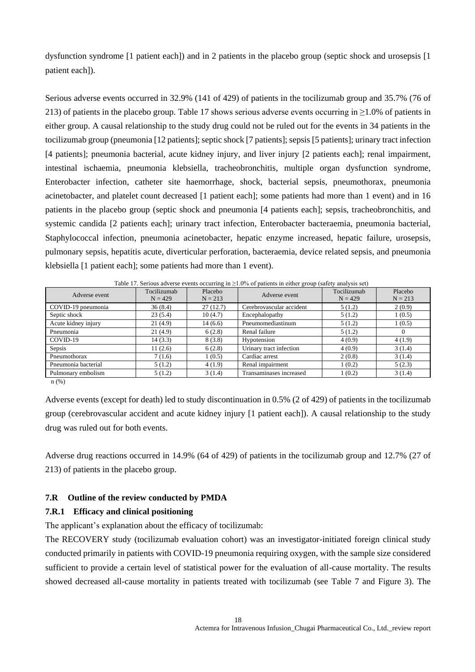dysfunction syndrome [1 patient each]) and in 2 patients in the placebo group (septic shock and urosepsis [1 patient each]).

Serious adverse events occurred in 32.9% (141 of 429) of patients in the tocilizumab group and 35.7% (76 of 213) of patients in the placebo group. Table 17 shows serious adverse events occurring in ≥1.0% of patients in either group. A causal relationship to the study drug could not be ruled out for the events in 34 patients in the tocilizumab group (pneumonia [12 patients]; septic shock [7 patients]; sepsis [5 patients]; urinary tract infection [4 patients]; pneumonia bacterial, acute kidney injury, and liver injury [2 patients each]; renal impairment, intestinal ischaemia, pneumonia klebsiella, tracheobronchitis, multiple organ dysfunction syndrome, Enterobacter infection, catheter site haemorrhage, shock, bacterial sepsis, pneumothorax, pneumonia acinetobacter, and platelet count decreased [1 patient each]; some patients had more than 1 event) and in 16 patients in the placebo group (septic shock and pneumonia [4 patients each]; sepsis, tracheobronchitis, and systemic candida [2 patients each]; urinary tract infection, Enterobacter bacteraemia, pneumonia bacterial, Staphylococcal infection, pneumonia acinetobacter, hepatic enzyme increased, hepatic failure, urosepsis, pulmonary sepsis, hepatitis acute, diverticular perforation, bacteraemia, device related sepsis, and pneumonia klebsiella [1 patient each]; some patients had more than 1 event).

| Adverse event       | Tocilizumab<br>$N = 429$ | Placebo<br>$N = 213$ | Adverse event            | Tocilizumab<br>$N = 429$ | Placebo<br>$N = 213$ |
|---------------------|--------------------------|----------------------|--------------------------|--------------------------|----------------------|
| COVID-19 pneumonia  | 36(8.4)                  | 27(12.7)             | Cerebrovascular accident | 5(1.2)                   | 2(0.9)               |
| Septic shock        | 23(5.4)                  | 10(4.7)              | Encephalopathy           | 5(1.2)                   | 1(0.5)               |
| Acute kidney injury | 21(4.9)                  | 14(6.6)              | Pneumomediastinum        | 5(1.2)                   | 1(0.5)               |
| Pneumonia           | 21(4.9)                  | 6(2.8)               | Renal failure            | 5(1.2)                   |                      |
| COVID-19            | 14(3.3)                  | 8(3.8)               | Hypotension              | 4(0.9)                   | 4(1.9)               |
| Sepsis              | 11(2.6)                  | 6(2.8)               | Urinary tract infection  | 4(0.9)                   | 3(1.4)               |
| Pneumothorax        | 7(1.6)                   | 1(0.5)               | Cardiac arrest           | 2(0.8)                   | 3(1.4)               |
| Pneumonia bacterial | 5(1.2)                   | 4(1.9)               | Renal impairment         | 1(0.2)                   | 5(2.3)               |
| Pulmonary embolism  | 5(1.2)                   | 3(1.4)               | Transaminases increased  | 1(0.2)                   | 3(1.4)               |

Table 17. Serious adverse events occurring in ≥1.0% of patients in either group (safety analysis set)

n (%)

Adverse events (except for death) led to study discontinuation in 0.5% (2 of 429) of patients in the tocilizumab group (cerebrovascular accident and acute kidney injury [1 patient each]). A causal relationship to the study drug was ruled out for both events.

Adverse drug reactions occurred in 14.9% (64 of 429) of patients in the tocilizumab group and 12.7% (27 of 213) of patients in the placebo group.

#### **7.R Outline of the review conducted by PMDA**

## **7.R.1 Efficacy and clinical positioning**

The applicant's explanation about the efficacy of tocilizumab:

The RECOVERY study (tocilizumab evaluation cohort) was an investigator-initiated foreign clinical study conducted primarily in patients with COVID-19 pneumonia requiring oxygen, with the sample size considered sufficient to provide a certain level of statistical power for the evaluation of all-cause mortality. The results showed decreased all-cause mortality in patients treated with tocilizumab (see Table 7 and Figure 3). The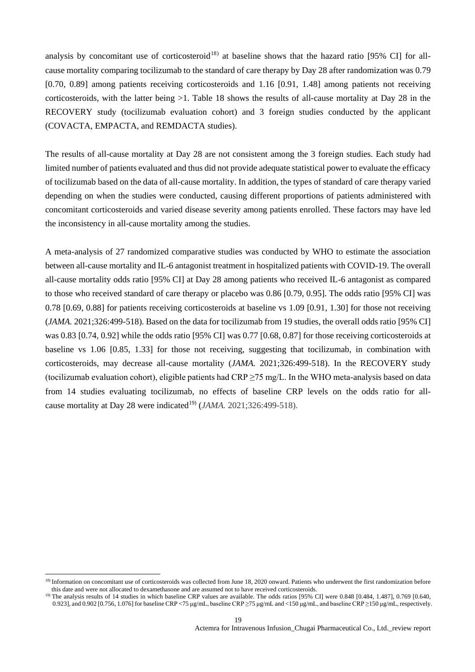analysis by concomitant use of corticosteroid<sup>18)</sup> at baseline shows that the hazard ratio [95% CI] for allcause mortality comparing tocilizumab to the standard of care therapy by Day 28 after randomization was 0.79 [0.70, 0.89] among patients receiving corticosteroids and 1.16 [0.91, 1.48] among patients not receiving corticosteroids, with the latter being >1. Table 18 shows the results of all-cause mortality at Day 28 in the RECOVERY study (tocilizumab evaluation cohort) and 3 foreign studies conducted by the applicant (COVACTA, EMPACTA, and REMDACTA studies).

The results of all-cause mortality at Day 28 are not consistent among the 3 foreign studies. Each study had limited number of patients evaluated and thus did not provide adequate statistical power to evaluate the efficacy of tocilizumab based on the data of all-cause mortality. In addition, the types of standard of care therapy varied depending on when the studies were conducted, causing different proportions of patients administered with concomitant corticosteroids and varied disease severity among patients enrolled. These factors may have led the inconsistency in all-cause mortality among the studies.

A meta-analysis of 27 randomized comparative studies was conducted by WHO to estimate the association between all-cause mortality and IL-6 antagonist treatment in hospitalized patients with COVID-19. The overall all-cause mortality odds ratio [95% CI] at Day 28 among patients who received IL-6 antagonist as compared to those who received standard of care therapy or placebo was 0.86 [0.79, 0.95]. The odds ratio [95% CI] was 0.78 [0.69, 0.88] for patients receiving corticosteroids at baseline vs 1.09 [0.91, 1.30] for those not receiving (*JAMA.* 2021;326:499-518). Based on the data for tocilizumab from 19 studies, the overall odds ratio [95% CI] was 0.83 [0.74, 0.92] while the odds ratio [95% CI] was 0.77 [0.68, 0.87] for those receiving corticosteroids at baseline vs 1.06 [0.85, 1.33] for those not receiving, suggesting that tocilizumab, in combination with corticosteroids, may decrease all-cause mortality (*JAMA.* 2021;326:499-518). In the RECOVERY study (tocilizumab evaluation cohort), eligible patients had CRP  $\geq$ 75 mg/L. In the WHO meta-analysis based on data from 14 studies evaluating tocilizumab, no effects of baseline CRP levels on the odds ratio for allcause mortality at Day 28 were indicated<sup>19</sup> (*JAMA*. 2021;326:499-518).

 18) Information on concomitant use of corticosteroids was collected from June 18, 2020 onward. Patients who underwent the first randomization before this date and were not allocated to dexamethasone and are assumed not to have received corticosteroids.

<sup>&</sup>lt;sup>19)</sup> The analysis results of 14 studies in which baseline CRP values are available. The odds ratios [95% CI] were 0.848 [0.484, 1.487], 0.769 [0.640, 0.923], and 0.902 [0.756, 1.076] for baseline CRP <75 μg/mL, baseline CRP ≥75 μg/mL and <150 μg/mL, and baseline CRP ≥150 μg/mL, respectively.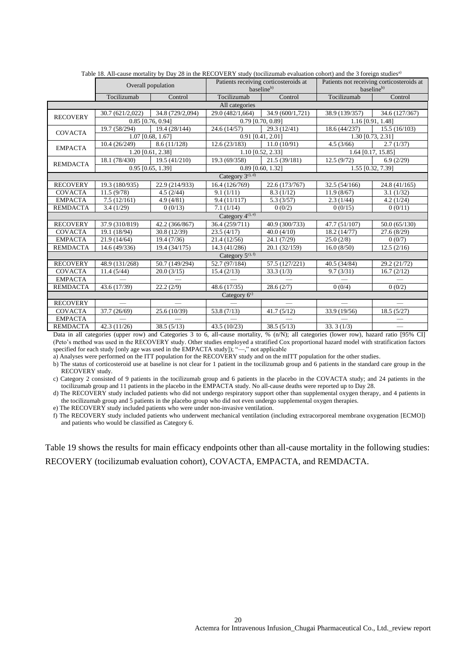|                              | raoic To. Thi cause mortanty by Day 20 in the KECO VERT study (tochizamab evaluation conort) and the 5 foreign studies<br>Overall population |                     | Patients receiving corticosteroids at<br>baseline <sup>b)</sup> |                     | Patients not receiving corticosteroids at<br>baseline <sup>b)</sup> |                    |
|------------------------------|----------------------------------------------------------------------------------------------------------------------------------------------|---------------------|-----------------------------------------------------------------|---------------------|---------------------------------------------------------------------|--------------------|
|                              | Tocilizumab                                                                                                                                  | Control             | Tocilizumab<br>Control                                          |                     | Tocilizumab                                                         | Control            |
|                              |                                                                                                                                              |                     | All categories                                                  |                     |                                                                     |                    |
| <b>RECOVERY</b>              | 30.7(621/2,022)                                                                                                                              | 34.8 (729/2,094)    | 29.0 (482/1,664)                                                | 34.9 (600/1,721)    | 38.9 (139/357)                                                      | 34.6 (127/367)     |
|                              |                                                                                                                                              | $0.85$ [0.76, 0.94] |                                                                 | $0.79$ [0.70, 0.89] |                                                                     | 1.16 [0.91, 1.48]  |
| <b>COVACTA</b>               | 19.7 (58/294)                                                                                                                                | 19.4 (28/144)       | 24.6(14/57)                                                     | 29.3(12/41)         | 18.6(44/237)                                                        | 15.5(16/103)       |
|                              |                                                                                                                                              | 1.07 [0.68, 1.67]   |                                                                 | 0.91 [0.41, 2.01]   |                                                                     | 1.30 [0.73, 2.31]  |
| <b>EMPACTA</b>               | 10.4(26/249)                                                                                                                                 | 8.6(11/128)         | 12.6(23/183)                                                    | 11.0(10/91)         | 4.5(3/66)                                                           | 2.7(1/37)          |
|                              |                                                                                                                                              | 1.20 [0.61, 2.38]   |                                                                 | 1.10 [0.52, 2.33]   |                                                                     | 1.64 [0.17, 15.85] |
| <b>REMDACTA</b>              | 18.1 (78/430)                                                                                                                                | 19.5(41/210)        | 19.3 (69/358)                                                   | 21.5(39/181)        | 12.5(9/72)                                                          | 6.9(2/29)          |
|                              |                                                                                                                                              | $0.95$ [0.65, 1.39] |                                                                 | 0.89 [0.60, 1.32]   |                                                                     | 1.55 [0.32, 7.39]  |
| Category 3 <sup>c), d)</sup> |                                                                                                                                              |                     |                                                                 |                     |                                                                     |                    |
| <b>RECOVERY</b>              | 19.3 (180/935)                                                                                                                               | 22.9 (214/933)      | 16.4 (126/769)                                                  | 22.6 (173/767)      | 32.5(54/166)                                                        | 24.8 (41/165)      |
| <b>COVACTA</b>               | 11.5(9/78)                                                                                                                                   | 4.5(2/44)           | 9.1(1/11)                                                       | 8.3(1/12)           | 11.9(8/67)                                                          | 3.1(1/32)          |
| <b>EMPACTA</b>               | 7.5(12/161)                                                                                                                                  | 4.9(4/81)           | 9.4(11/117)                                                     | 5.3(3/57)           | 2.3(1/44)                                                           | 4.2(1/24)          |
| <b>REMDACTA</b>              | 3.4(1/29)                                                                                                                                    | 0(0/13)             | 7.1(1/14)                                                       | 0(0/2)              | 0(0/15)                                                             | 0(0/11)            |
|                              |                                                                                                                                              |                     | Category 4c), e)                                                |                     |                                                                     |                    |
| <b>RECOVERY</b>              | 37.9 (310/819)                                                                                                                               | 42.2 (366/867)      | 36.4 (259/711)                                                  | 40.9 (300/733)      | 47.7 (51/107)                                                       | 50.0(65/130)       |
| <b>COVACTA</b>               | 19.1 (18/94)                                                                                                                                 | 30.8 (12/39)        | 23.5(4/17)                                                      | 40.0(4/10)          | 18.2 (14/77)                                                        | 27.6(8/29)         |
| <b>EMPACTA</b>               | 21.9 (14/64)                                                                                                                                 | 19.4(7/36)          | 21.4(12/56)                                                     | 24.1(7/29)          | 25.0(2/8)                                                           | 0(0/7)             |
| <b>REMDACTA</b>              | 14.6 (49/336)                                                                                                                                | 19.4 (34/175)       | 14.3 (41/286)                                                   | 20.1(32/159)        | 16.0(8/50)                                                          | 12.5(2/16)         |
|                              |                                                                                                                                              |                     | Category $5^{c}$ , f)                                           |                     |                                                                     |                    |
| <b>RECOVERY</b>              | 48.9 (131/268)                                                                                                                               | 50.7 (149/294)      | 52.7 (97/184)                                                   | 57.5 (127/221)      | 40.5 (34/84)                                                        | 29.2 (21/72)       |
| <b>COVACTA</b>               | 11.4(5/44)                                                                                                                                   | 20.0(3/15)          | 15.4(2/13)                                                      | 33.3(1/3)           | 9.7(3/31)                                                           | 16.7(2/12)         |
| <b>EMPACTA</b>               |                                                                                                                                              |                     |                                                                 |                     |                                                                     |                    |
| <b>REMDACTA</b>              | 43.6 (17/39)                                                                                                                                 | 22.2(2/9)           | 48.6 (17/35)                                                    | 28.6(2/7)           | 0(0/4)                                                              | 0(0/2)             |
|                              |                                                                                                                                              |                     | Category 6 <sup>c)</sup>                                        |                     |                                                                     |                    |
| <b>RECOVERY</b>              |                                                                                                                                              |                     |                                                                 |                     |                                                                     |                    |
| <b>COVACTA</b>               | 37.7 (26/69)                                                                                                                                 | 25.6 (10/39)        | 53.8 $(7/13)$                                                   | 41.7(5/12)          | 33.9 (19/56)                                                        | 18.5(5/27)         |
| <b>EMPACTA</b>               |                                                                                                                                              |                     |                                                                 |                     |                                                                     |                    |
| <b>REMDACTA</b>              | 42.3 (11/26)                                                                                                                                 | 38.5(5/13)          | 43.5(10/23)                                                     | 38.5(5/13)          | 33.3(1/3)                                                           |                    |

Table 18. All-cause mortality by Day 28 in the RECOVERY study (tocilizumab evaluation cohort) and the 3 foreign studies<sup>a)</sup>

Data in all categories (upper row) and Categories 3 to 6, all-cause mortality, % (n/N); all categories (lower row), hazard ratio [95% CI] (Peto's method was used in the RECOVERY study. Other studies employed a stratified Cox proportional hazard model with stratification factors specified for each study [only age was used in the EMPACTA study]); "—," not applicable

a) Analyses were performed on the ITT population for the RECOVERY study and on the mITT population for the other studies.

b) The status of corticosteroid use at baseline is not clear for 1 patient in the tocilizumab group and 6 patients in the standard care group in the RECOVERY study.

c) Category 2 consisted of 9 patients in the tocilizumab group and 6 patients in the placebo in the COVACTA study; and 24 patients in the tocilizumab group and 11 patients in the placebo in the EMPACTA study. No all-cause deaths were reported up to Day 28.

d) The RECOVERY study included patients who did not undergo respiratory support other than supplemental oxygen therapy, and 4 patients in the tocilizumab group and 5 patients in the placebo group who did not even undergo supplemental oxygen therapies.

e) The RECOVERY study included patients who were under non-invasive ventilation.

f) The RECOVERY study included patients who underwent mechanical ventilation (including extracorporeal membrane oxygenation [ECMO]) and patients who would be classified as Category 6.

Table 19 shows the results for main efficacy endpoints other than all-cause mortality in the following studies: RECOVERY (tocilizumab evaluation cohort), COVACTA, EMPACTA, and REMDACTA.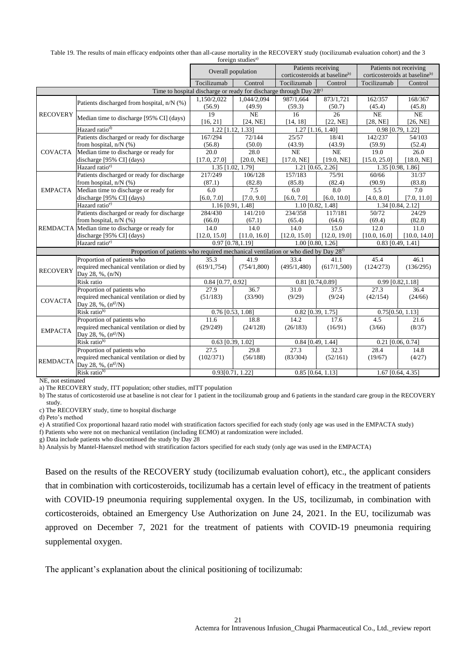| Table 19. The results of main efficacy endpoints other than all-cause mortality in the RECOVERY study (tocilizumab evaluation cohort) and the 3 |  |
|-------------------------------------------------------------------------------------------------------------------------------------------------|--|
| foreign studies <sup>a)</sup>                                                                                                                   |  |

|                            |                                                                                                |                                                                                | TOTULEN SUGGIUS |                                           |              |                                           |                  |
|----------------------------|------------------------------------------------------------------------------------------------|--------------------------------------------------------------------------------|-----------------|-------------------------------------------|--------------|-------------------------------------------|------------------|
|                            |                                                                                                | Overall population                                                             |                 | Patients receiving                        |              | Patients not receiving                    |                  |
|                            |                                                                                                |                                                                                |                 | corticosteroids at baseline <sup>b)</sup> |              | corticosteroids at baseline <sup>b)</sup> |                  |
|                            |                                                                                                | Tocilizumab                                                                    | Control         | Tocilizumab                               | Control      | Tocilizumab                               | Control          |
|                            |                                                                                                | Time to hospital discharge or ready for discharge through Day 28 <sup>c)</sup> |                 |                                           |              |                                           |                  |
|                            |                                                                                                | 1,150/2,022                                                                    | 1,044/2,094     | 987/1.664                                 | 873/1,721    | 162/357                                   | 168/367          |
|                            | Patients discharged from hospital, n/N (%)                                                     | (56.9)                                                                         | (49.9)          | (59.3)                                    | (50.7)       | (45.4)                                    | (45.8)           |
| <b>RECOVERY</b>            |                                                                                                | 19                                                                             | NE              | 16                                        | 26           | NE                                        | NE               |
|                            | Median time to discharge [95% CI] (days)                                                       | [16, 21]                                                                       | [24, NE]        | [14, 18]                                  | [22, NE]     | [28, NE]                                  | [26, NE]         |
|                            | Hazard ratio <sup>d)</sup>                                                                     | $1.22$ [1.12, 1.33]                                                            |                 | 1.27 [1.16, 1.40]                         |              | 0.98 [0.79, 1.22]                         |                  |
|                            | Patients discharged or ready for discharge                                                     | 167/294                                                                        | 72/144          | 25/57                                     | 18/41        | 142/237                                   | 54/103           |
|                            | from hospital, $n/N$ (%)                                                                       | (56.8)                                                                         | (50.0)          | (43.9)                                    | (43.9)       | (59.9)                                    | (52.4)           |
| <b>COVACTA</b>             | Median time to discharge or ready for                                                          | 20.0                                                                           | 28.0            | NE                                        | <b>NE</b>    | 19.0                                      | 26.0             |
|                            | discharge [95% CI] (days)                                                                      | [17.0, 27.0]                                                                   | [20.0, NE]      | [17.0, NE]                                | [19.0, NE]   | [15.0, 25.0]                              | [18.0, NE]       |
|                            | Hazard ratio <sup>e)</sup>                                                                     | 1.35 [1.02, 1.79]                                                              |                 | 1.21 [0.65, 2.26]                         |              | 1.35 [0.98, 1.86]                         |                  |
|                            | Patients discharged or ready for discharge                                                     | 217/249                                                                        | 106/128         | 157/183                                   | 75/91        | 60/66                                     | 31/37            |
|                            | from hospital, $n/N$ (%)                                                                       | (87.1)                                                                         | (82.8)          | (85.8)                                    | (82.4)       | (90.9)                                    | (83.8)           |
| <b>EMPACTA</b>             | Median time to discharge or ready for                                                          | 6.0                                                                            | 7.5             | 6.0                                       | 8.0          | 5.5                                       | 7.0              |
|                            | discharge [95% CI] (days)                                                                      | [6.0, 7.0]                                                                     | [7.0, 9.0]      | [6.0, 7.0]                                | [6.0, 10.0]  | [4.0, 8.0]                                | [7.0, 11.0]      |
|                            | Hazard ratio <sup>e)</sup>                                                                     | 1.16 [0.91, 1.48]                                                              |                 | 1.10 [0.82, 1.48]                         |              | 1.34 [0.84, 2.12]                         |                  |
|                            | Patients discharged or ready for discharge                                                     | 284/430                                                                        | 141/210         | 234/358                                   | 117/181      | 50/72                                     | 24/29            |
|                            | from hospital, $n/N$ (%)                                                                       | (66.0)                                                                         | (67.1)          | (65.4)                                    | (64.6)       | (69.4)                                    | (82.8)           |
|                            | REMDACTA Median time to discharge or ready for                                                 | 14.0                                                                           | 14.0            | 14.0                                      | 15.0         | 12.0                                      | 11.0             |
|                            | discharge [95% CI] (days)                                                                      | [12.0, 15.0]                                                                   | [11.0, 16.0]    | [12.0, 15.0]                              | [12.0, 19.0] | [10.0, 16.0]                              | [10.0, 14.0]     |
| Hazard ratio <sup>e)</sup> |                                                                                                | 0.97 [0.78,1.19]                                                               |                 | $1.00$ [0.80, 1.26]                       |              | $0.83$ [0.49, 1.41]                       |                  |
|                            | Proportion of patients who required mechanical ventilation or who died by Day 28 <sup>f)</sup> |                                                                                |                 |                                           |              |                                           |                  |
|                            | Proportion of patients who                                                                     | 35.3                                                                           | 41.9            | 33.4                                      | 41.1         | 45.4                                      | 46.1             |
| <b>RECOVERY</b>            | required mechanical ventilation or died by                                                     | (619/1, 754)                                                                   | (754/1,800)     | (495/1, 480)                              | (617/1,500)  | (124/273)                                 | (136/295)        |
|                            | Day 28, %, (n/N)                                                                               |                                                                                |                 |                                           |              |                                           |                  |
|                            | Risk ratio                                                                                     | $0.84$ [0.77, 0.92]                                                            |                 | 0.81 [0.74,0.89]                          |              | 0.99 [0.82,1.18]                          |                  |
|                            | Proportion of patients who                                                                     | 27.9                                                                           | 36.7            | 31.0                                      | 37.5         | 27.3                                      | 36.4             |
| <b>COVACTA</b>             | required mechanical ventilation or died by                                                     | (51/183)                                                                       | (33/90)         | (9/29)                                    | (9/24)       | (42/154)                                  | (24/66)          |
|                            | Day 28, %, $(n^{g})/N$                                                                         |                                                                                |                 |                                           |              |                                           |                  |
|                            | Risk ratio <sup>h)</sup>                                                                       | 0.76 [0.53, 1.08]                                                              |                 | 0.82 [0.39, 1.75]                         |              |                                           | 0.75[0.50, 1.13] |
|                            | Proportion of patients who                                                                     | 11.6                                                                           | 18.8            | 14.2                                      | 17.6         | 4.5                                       | 21.6             |
| <b>EMPACTA</b>             | required mechanical ventilation or died by                                                     | (29/249)                                                                       | (24/128)        | (26/183)                                  | (16/91)      | (3/66)                                    | (8/37)           |
|                            | Day 28, %, (n <sup>g)</sup> /N)                                                                |                                                                                |                 |                                           |              |                                           |                  |
| Risk ratio <sup>h)</sup>   |                                                                                                | $0.63$ [0.39, 1.02]                                                            |                 | $0.84$ [0.49, 1.44]                       |              | $0.21$ [0.06, $0.74$ ]                    |                  |
|                            | Proportion of patients who                                                                     | 27.5                                                                           | 29.8            | 27.3                                      | 32.3         | 28.4                                      | 14.8             |
| <b>REMDACTA</b>            | required mechanical ventilation or died by                                                     | (102/371)                                                                      | (56/188)        | (83/304)                                  | (52/161)     | (19/67)                                   | (4/27)           |
|                            | Day 28, %, (n <sup>g)</sup> /N)                                                                |                                                                                |                 |                                           |              |                                           |                  |
|                            | Risk ratio <sup>h)</sup>                                                                       | 0.93[0.71, 1.22]                                                               |                 | $0.85$ [0.64, 1.13]                       |              | $1.67$ [0.64, 4.35]                       |                  |

NE, not estimated

a) The RECOVERY study, ITT population; other studies, mITT population

b) The status of corticosteroid use at baseline is not clear for 1 patient in the tocilizumab group and 6 patients in the standard care group in the RECOVERY study.

c) The RECOVERY study, time to hospital discharge

d) Peto's method

e) A stratified Cox proportional hazard ratio model with stratification factors specified for each study (only age was used in the EMPACTA study)

f) Patients who were not on mechanical ventilation (including ECMO) at randomization were included.

g) Data include patients who discontinued the study by Day 28

h) Analysis by Mantel-Haenszel method with stratification factors specified for each study (only age was used in the EMPACTA)

Based on the results of the RECOVERY study (tocilizumab evaluation cohort), etc., the applicant considers that in combination with corticosteroids, tocilizumab has a certain level of efficacy in the treatment of patients with COVID-19 pneumonia requiring supplemental oxygen. In the US, tocilizumab, in combination with corticosteroids, obtained an Emergency Use Authorization on June 24, 2021. In the EU, tocilizumab was approved on December 7, 2021 for the treatment of patients with COVID-19 pneumonia requiring supplemental oxygen.

The applicant's explanation about the clinical positioning of tocilizumab: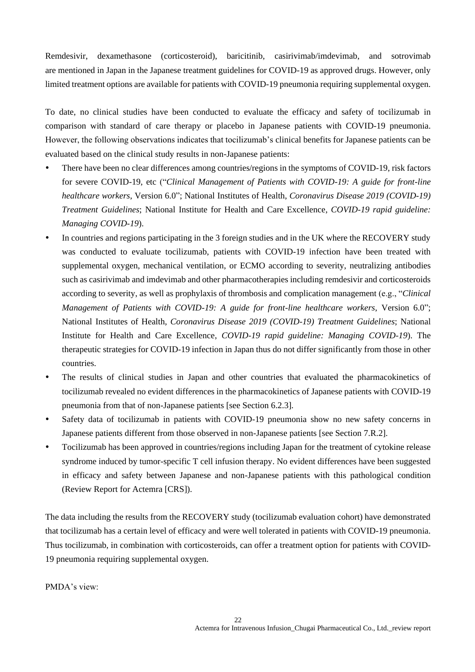Remdesivir, dexamethasone (corticosteroid), baricitinib, casirivimab/imdevimab, and sotrovimab are mentioned in Japan in the Japanese treatment guidelines for COVID-19 as approved drugs. However, only limited treatment options are available for patients with COVID-19 pneumonia requiring supplemental oxygen.

To date, no clinical studies have been conducted to evaluate the efficacy and safety of tocilizumab in comparison with standard of care therapy or placebo in Japanese patients with COVID-19 pneumonia. However, the following observations indicates that tocilizumab's clinical benefits for Japanese patients can be evaluated based on the clinical study results in non-Japanese patients:

- There have been no clear differences among countries/regions in the symptoms of COVID-19, risk factors for severe COVID-19, etc ("*Clinical Management of Patients with COVID-19: A guide for front-line healthcare workers*, Version 6.0"; National Institutes of Health, *Coronavirus Disease 2019 (COVID-19) Treatment Guidelines*; National Institute for Health and Care Excellence, *COVID-19 rapid guideline: Managing COVID-19*).
- In countries and regions participating in the 3 foreign studies and in the UK where the RECOVERY study was conducted to evaluate tocilizumab, patients with COVID-19 infection have been treated with supplemental oxygen, mechanical ventilation, or ECMO according to severity, neutralizing antibodies such as casirivimab and imdevimab and other pharmacotherapies including remdesivir and corticosteroids according to severity, as well as prophylaxis of thrombosis and complication management (e.g., "*Clinical Management of Patients with COVID-19: A guide for front-line healthcare workers*, Version 6.0"; National Institutes of Health, *Coronavirus Disease 2019 (COVID-19) Treatment Guidelines*; National Institute for Health and Care Excellence, *COVID-19 rapid guideline: Managing COVID-19*). The therapeutic strategies for COVID-19 infection in Japan thus do not differ significantly from those in other countries.
- The results of clinical studies in Japan and other countries that evaluated the pharmacokinetics of tocilizumab revealed no evident differences in the pharmacokinetics of Japanese patients with COVID-19 pneumonia from that of non-Japanese patients [see Section 6.2.3].
- Safety data of tocilizumab in patients with COVID-19 pneumonia show no new safety concerns in Japanese patients different from those observed in non-Japanese patients [see Section 7.R.2].
- Tocilizumab has been approved in countries/regions including Japan for the treatment of cytokine release syndrome induced by tumor-specific T cell infusion therapy. No evident differences have been suggested in efficacy and safety between Japanese and non-Japanese patients with this pathological condition (Review Report for Actemra [CRS]).

The data including the results from the RECOVERY study (tocilizumab evaluation cohort) have demonstrated that tocilizumab has a certain level of efficacy and were well tolerated in patients with COVID-19 pneumonia. Thus tocilizumab, in combination with corticosteroids, can offer a treatment option for patients with COVID-19 pneumonia requiring supplemental oxygen.

PMDA's view: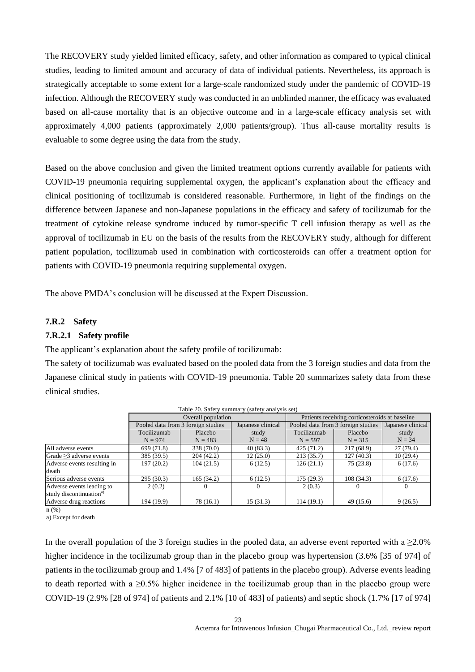The RECOVERY study yielded limited efficacy, safety, and other information as compared to typical clinical studies, leading to limited amount and accuracy of data of individual patients. Nevertheless, its approach is strategically acceptable to some extent for a large-scale randomized study under the pandemic of COVID-19 infection. Although the RECOVERY study was conducted in an unblinded manner, the efficacy was evaluated based on all-cause mortality that is an objective outcome and in a large-scale efficacy analysis set with approximately 4,000 patients (approximately 2,000 patients/group). Thus all-cause mortality results is evaluable to some degree using the data from the study.

Based on the above conclusion and given the limited treatment options currently available for patients with COVID-19 pneumonia requiring supplemental oxygen, the applicant's explanation about the efficacy and clinical positioning of tocilizumab is considered reasonable. Furthermore, in light of the findings on the difference between Japanese and non-Japanese populations in the efficacy and safety of tocilizumab for the treatment of cytokine release syndrome induced by tumor-specific T cell infusion therapy as well as the approval of tocilizumab in EU on the basis of the results from the RECOVERY study, although for different patient population, tocilizumab used in combination with corticosteroids can offer a treatment option for patients with COVID-19 pneumonia requiring supplemental oxygen.

The above PMDA's conclusion will be discussed at the Expert Discussion.

#### **7.R.2 Safety**

#### **7.R.2.1 Safety profile**

The applicant's explanation about the safety profile of tocilizumab:

The safety of tocilizumab was evaluated based on the pooled data from the 3 foreign studies and data from the Japanese clinical study in patients with COVID-19 pneumonia. Table 20 summarizes safety data from these clinical studies.

|                                     |                                    |                    | Table 20. Safety summary (safety analysis set) |                                                         |            |          |
|-------------------------------------|------------------------------------|--------------------|------------------------------------------------|---------------------------------------------------------|------------|----------|
|                                     |                                    | Overall population |                                                | Patients receiving corticosteroids at baseline          |            |          |
|                                     | Pooled data from 3 foreign studies |                    | Japanese clinical                              | Pooled data from 3 foreign studies<br>Japanese clinical |            |          |
|                                     | Tocilizumab                        | Placebo            | study                                          | Tocilizumab                                             | Placebo    | study    |
|                                     | $N = 974$                          | $N = 483$          | $N = 48$                                       | $N = 597$                                               | $N = 315$  | $N = 34$ |
| All adverse events                  | 699 (71.8)                         | 338 (70.0)         | 40(83.3)                                       | 425(71.2)                                               | 217 (68.9) | 27(79.4) |
| Grade $\geq$ 3 adverse events       | 385 (39.5)                         | 204(42.2)          | 12(25.0)                                       | 213(35.7)                                               | 127(40.3)  | 10(29.4) |
| Adverse events resulting in         | 197(20.2)                          | 104(21.5)          | 6(12.5)                                        | 126(21.1)                                               | 75(23.8)   | 6(17.6)  |
| death                               |                                    |                    |                                                |                                                         |            |          |
| Serious adverse events              | 295(30.3)                          | 165 (34.2)         | 6(12.5)                                        | 175 (29.3)                                              | 108(34.3)  | 6(17.6)  |
| Adverse events leading to           | 2(0.2)                             |                    |                                                | 2(0.3)                                                  | $\theta$   | $\Omega$ |
| study discontinuation <sup>a)</sup> |                                    |                    |                                                |                                                         |            |          |
| Adverse drug reactions              | 194 (19.9)                         | 78 (16.1)          | 15(31.3)                                       | 114(19.1)                                               | 49 (15.6)  | 9(26.5)  |

Table 20. Safety summary (safety analysis set)

 $n$  (%)

a) Except for death

In the overall population of the 3 foreign studies in the pooled data, an adverse event reported with a  $\geq 2.0\%$ higher incidence in the tocilizumab group than in the placebo group was hypertension (3.6% [35 of 974] of patients in the tocilizumab group and 1.4% [7 of 483] of patients in the placebo group). Adverse events leading to death reported with a  $\geq 0.5\%$  higher incidence in the tocilizumab group than in the placebo group were COVID-19 (2.9% [28 of 974] of patients and 2.1% [10 of 483] of patients) and septic shock (1.7% [17 of 974]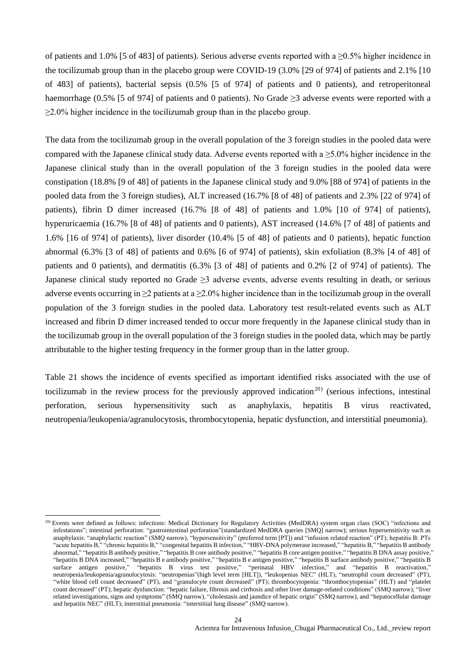of patients and 1.0% [5 of 483] of patients). Serious adverse events reported with a ≥0.5% higher incidence in the tocilizumab group than in the placebo group were COVID-19 (3.0% [29 of 974] of patients and 2.1% [10 of 483] of patients), bacterial sepsis (0.5% [5 of 974] of patients and 0 patients), and retroperitoneal haemorrhage (0.5% [5 of 974] of patients and 0 patients). No Grade  $\geq$ 3 adverse events were reported with a  $\geq$ 2.0% higher incidence in the tocilizumab group than in the placebo group.

The data from the tocilizumab group in the overall population of the 3 foreign studies in the pooled data were compared with the Japanese clinical study data. Adverse events reported with a  $\geq 5.0\%$  higher incidence in the Japanese clinical study than in the overall population of the 3 foreign studies in the pooled data were constipation (18.8% [9 of 48] of patients in the Japanese clinical study and 9.0% [88 of 974] of patients in the pooled data from the 3 foreign studies), ALT increased (16.7% [8 of 48] of patients and 2.3% [22 of 974] of patients), fibrin D dimer increased (16.7% [8 of 48] of patients and 1.0% [10 of 974] of patients), hyperuricaemia (16.7% [8 of 48] of patients and 0 patients), AST increased (14.6% [7 of 48] of patients and 1.6% [16 of 974] of patients), liver disorder (10.4% [5 of 48] of patients and 0 patients), hepatic function abnormal (6.3% [3 of 48] of patients and 0.6% [6 of 974] of patients), skin exfoliation (8.3% [4 of 48] of patients and 0 patients), and dermatitis (6.3% [3 of 48] of patients and 0.2% [2 of 974] of patients). The Japanese clinical study reported no Grade ≥3 adverse events, adverse events resulting in death, or serious adverse events occurring in  $\geq 2$  patients at a  $\geq 2.0\%$  higher incidence than in the tocilizumab group in the overall population of the 3 foreign studies in the pooled data. Laboratory test result-related events such as ALT increased and fibrin D dimer increased tended to occur more frequently in the Japanese clinical study than in the tocilizumab group in the overall population of the 3 foreign studies in the pooled data, which may be partly attributable to the higher testing frequency in the former group than in the latter group.

Table 21 shows the incidence of events specified as important identified risks associated with the use of tocilizumab in the review process for the previously approved indication<sup>20)</sup> (serious infections, intestinal perforation, serious hypersensitivity such as anaphylaxis, hepatitis B virus reactivated, neutropenia/leukopenia/agranulocytosis, thrombocytopenia, hepatic dysfunction, and interstitial pneumonia).

l

<sup>&</sup>lt;sup>20)</sup> Events were defined as follows: infections: Medical Dictionary for Regulatory Activities (MedDRA) system organ class (SOC) "infections and infestations"; intestinal perforation: "gastrointestinal perforation"(standardized MedDRA queries [SMQ] narrow); serious hypersensitivity such as anaphylaxis: "anaphylactic reaction" (SMQ narrow), "hypersensitivity" (preferred term [PT]) and "infusion related reaction" (PT); hepatitis B: PTs "acute hepatitis B," "chronic hepatitis B," "congenital hepatitis B infection," "HBV-DNA polymerase increased," "hepatitis B," "hepatitis B antibody abnormal," "hepatitis B antibody positive," "hepatitis B core antibody positive," "hepatitis B core antigen positive," "hepatitis B DNA assay positive," "hepatitis B DNA increased," "hepatitis B e antibody positive," "hepatitis B e antigen positive," "hepatitis B surface antibody positive," "hepatitis B surface antigen positive," "hepatitis B virus test positive," "perinatal HBV infection," and "hepatitis B reactivation," neutropenia/leukopenia/agranulocytosis: "neutropenias"(high level term [HLT]), "leukopenias NEC" (HLT), "neutrophil count decreased" (PT), "white blood cell count decreased" (PT), and "granulocyte count decreased" (PT); thrombocytopenia: "thrombocytopenias" (HLT) and "platelet count decreased" (PT); hepatic dysfunction: "hepatic failure, fibrosis and cirrhosis and other liver damage-related conditions" (SMQ narrow); "liver related investigations, signs and symptoms" (SMQ narrow), "cholestasis and jaundice of hepatic origin" (SMQ narrow), and "hepatocellular damage and hepatitis NEC" (HLT); interstitial pneumonia: "interstitial lung disease" (SMQ narrow).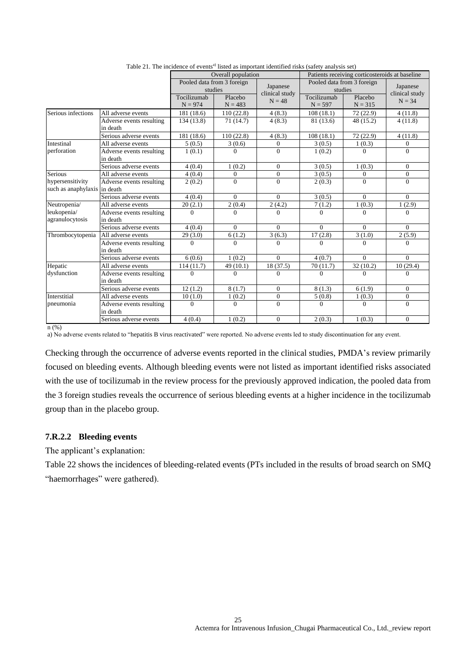|                                                  |                                      | Overall population                                                             |                                       |                                                  | Patients receiving corticosteroids at baseline |                                       |                |
|--------------------------------------------------|--------------------------------------|--------------------------------------------------------------------------------|---------------------------------------|--------------------------------------------------|------------------------------------------------|---------------------------------------|----------------|
|                                                  |                                      |                                                                                | Pooled data from 3 foreign<br>studies | Japanese                                         |                                                | Pooled data from 3 foreign<br>studies |                |
|                                                  |                                      | clinical study<br>Tocilizumab<br>Placebo<br>$N = 48$<br>$N = 974$<br>$N = 483$ |                                       | Tocilizumab<br>Placebo<br>$N = 597$<br>$N = 315$ |                                                | clinical study<br>$N = 34$            |                |
| Serious infections                               | All adverse events                   | 181 (18.6)                                                                     | 110(22.8)                             | 4(8.3)                                           | 108(18.1)                                      | 72(22.9)                              | 4(11.8)        |
|                                                  | Adverse events resulting<br>in death | 134 (13.8)                                                                     | 71(14.7)                              | 4(8.3)                                           | 81 (13.6)                                      | 48 (15.2)                             | 4(11.8)        |
|                                                  | Serious adverse events               | 181 (18.6)                                                                     | 110(22.8)                             | 4(8.3)                                           | 108(18.1)                                      | 72(22.9)                              | 4(11.8)        |
| <b>Intestinal</b>                                | All adverse events                   | 5(0.5)                                                                         | 3(0.6)                                | $\mathbf{0}$                                     | 3(0.5)                                         | 1(0.3)                                | $\overline{0}$ |
| perforation                                      | Adverse events resulting<br>in death | 1(0.1)                                                                         | $\Omega$                              | $\Omega$                                         | 1(0.2)                                         | $\Omega$                              | $\Omega$       |
|                                                  | Serious adverse events               | 4(0.4)                                                                         | 1(0.2)                                | $\overline{0}$                                   | 3(0.5)                                         | 1(0.3)                                | $\theta$       |
| <b>Serious</b>                                   | All adverse events                   | 4(0.4)                                                                         | $\overline{0}$                        | $\mathbf{0}$                                     | 3(0.5)                                         | $\mathbf{0}$                          | $\mathbf{0}$   |
| hypersensitivity<br>such as anaphylaxis in death | Adverse events resulting             | 2(0.2)                                                                         | $\Omega$                              | $\Omega$                                         | 2(0.3)                                         | $\Omega$                              | $\Omega$       |
|                                                  | Serious adverse events               | 4(0.4)                                                                         | $\Omega$                              | $\Omega$                                         | 3(0.5)                                         | $\Omega$                              | $\Omega$       |
| Neutropenia/                                     | All adverse events                   | 20(2.1)                                                                        | 2(0.4)                                | 2(4.2)                                           | 7(1.2)                                         | 1(0.3)                                | 1(2.9)         |
| leukopenia/<br>agranulocytosis                   | Adverse events resulting<br>in death | $\Omega$                                                                       | $\Omega$                              | $\Omega$                                         | $\Omega$                                       | $\Omega$                              | $\Omega$       |
|                                                  | Serious adverse events               | 4(0.4)                                                                         | $\Omega$                              | $\Omega$                                         | $\Omega$                                       | $\Omega$                              | $\Omega$       |
| Thrombocytopenia                                 | All adverse events                   | 29(3.0)                                                                        | 6(1.2)                                | 3(6.3)                                           | 17(2.8)                                        | 3(1.0)                                | 2(5.9)         |
|                                                  | Adverse events resulting<br>in death | $\Omega$                                                                       | $\Omega$                              | $\Omega$                                         | 0                                              | $\Omega$                              | $\Omega$       |
|                                                  | Serious adverse events               | 6(0.6)                                                                         | 1(0.2)                                | $\Omega$                                         | 4(0.7)                                         | $\Omega$                              | $\Omega$       |
| Hepatic                                          | All adverse events                   | 114(11.7)                                                                      | 49 (10.1)                             | 18 (37.5)                                        | 70(11.7)                                       | 32(10.2)                              | 10(29.4)       |
| dysfunction                                      | Adverse events resulting<br>in death | $\Omega$                                                                       | 0                                     | $\Omega$                                         | $\Omega$                                       | $\Omega$                              | $\Omega$       |
|                                                  | Serious adverse events               | 12(1.2)                                                                        | 8(1.7)                                | $\Omega$                                         | 8(1.3)                                         | 6(1.9)                                | $\Omega$       |
| Interstitial                                     | All adverse events                   | 10(1.0)                                                                        | 1(0.2)                                | $\overline{0}$                                   | 5(0.8)                                         | 1(0.3)                                | $\overline{0}$ |
| pneumonia                                        | Adverse events resulting<br>in death | $\Omega$                                                                       | 0                                     | $\Omega$                                         | $\Omega$                                       | $\Omega$                              | $\Omega$       |
|                                                  | Serious adverse events               | 4(0.4)                                                                         | 1(0.2)                                | $\Omega$                                         | 2(0.3)                                         | 1(0.3)                                | $\Omega$       |

Table 21. The incidence of events<sup>a)</sup> listed as important identified risks (safety analysis set)

n (%)

a) No adverse events related to "hepatitis B virus reactivated" were reported. No adverse events led to study discontinuation for any event.

Checking through the occurrence of adverse events reported in the clinical studies, PMDA's review primarily focused on bleeding events. Although bleeding events were not listed as important identified risks associated with the use of tocilizumab in the review process for the previously approved indication, the pooled data from the 3 foreign studies reveals the occurrence of serious bleeding events at a higher incidence in the tocilizumab group than in the placebo group.

## **7.R.2.2 Bleeding events**

The applicant's explanation:

Table 22 shows the incidences of bleeding-related events (PTs included in the results of broad search on SMQ "haemorrhages" were gathered).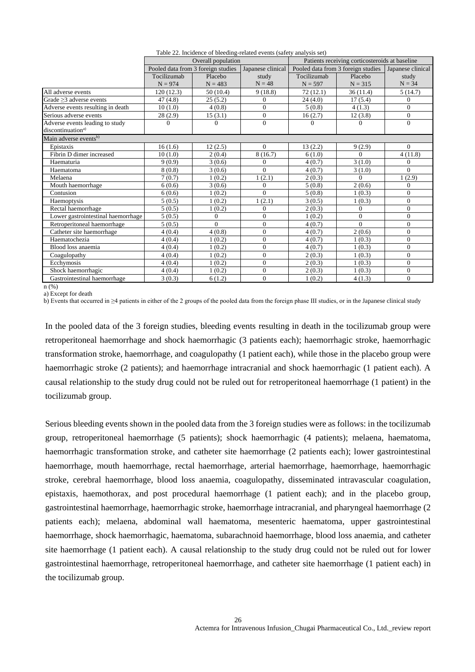|                                    |             | Overall population                 |                   |                                    | Patients receiving corticosteroids at baseline |                   |  |
|------------------------------------|-------------|------------------------------------|-------------------|------------------------------------|------------------------------------------------|-------------------|--|
|                                    |             | Pooled data from 3 foreign studies | Japanese clinical | Pooled data from 3 foreign studies |                                                | Japanese clinical |  |
|                                    | Tocilizumab | Placebo                            | study             | Tocilizumab                        | Placebo                                        | study             |  |
|                                    | $N = 974$   | $N = 483$                          | $N = 48$          | $N = 597$                          | $N = 315$                                      | $N = 34$          |  |
| All adverse events                 | 120(12.3)   | 50(10.4)                           | 9(18.8)           | 72(12.1)                           | 36(11.4)                                       | 5(14.7)           |  |
| Grade $\geq$ 3 adverse events      | 47(4.8)     | 25(5.2)                            | 0                 | 24(4.0)                            | 17(5.4)                                        | $\mathbf{0}$      |  |
| Adverse events resulting in death  | 10(1.0)     | 4(0.8)                             | $\Omega$          | 5(0.8)                             | 4(1.3)                                         | $\Omega$          |  |
| Serious adverse events             | 28(2.9)     | 15(3.1)                            | $\mathbf{0}$      | 16(2.7)                            | 12(3.8)                                        | $\overline{0}$    |  |
| Adverse events leading to study    | 0           | $\Omega$                           | $\mathbf{0}$      | $\Omega$                           | 0                                              | $\mathbf{0}$      |  |
| discontinuation <sup>a)</sup>      |             |                                    |                   |                                    |                                                |                   |  |
| Main adverse events <sup>b)</sup>  |             |                                    |                   |                                    |                                                |                   |  |
| Epistaxis                          | 16(1.6)     | 12(2.5)                            | $\Omega$          | 13(2.2)                            | 9(2.9)                                         | $\Omega$          |  |
| Fibrin D dimer increased           | 10(1.0)     | 2(0.4)                             | 8(16.7)           | 6(1.0)                             | $\Omega$                                       | 4(11.8)           |  |
| Haematuria                         | 9(0.9)      | 3(0.6)                             | $\Omega$          | 4(0.7)                             | 3(1.0)                                         | $\Omega$          |  |
| Haematoma                          | 8(0.8)      | 3(0.6)                             | $\Omega$          | 4(0.7)                             | 3(1.0)                                         | $\Omega$          |  |
| Melaena                            | 7(0.7)      | 1(0.2)                             | 1(2.1)            | 2(0.3)                             | $\Omega$                                       | 1(2.9)            |  |
| Mouth haemorrhage                  | 6(0.6)      | 3(0.6)                             | $\theta$          | 5(0.8)                             | 2(0.6)                                         | $\Omega$          |  |
| Contusion                          | 6(0.6)      | 1(0.2)                             | $\Omega$          | 5(0.8)                             | 1(0.3)                                         | $\mathbf{0}$      |  |
| Haemoptysis                        | 5(0.5)      | 1(0.2)                             | 1(2.1)            | 3(0.5)                             | 1(0.3)                                         | $\mathbf{0}$      |  |
| Rectal haemorrhage                 | 5(0.5)      | 1(0.2)                             | $\mathbf{0}$      | 2(0.3)                             | $\Omega$                                       | $\mathbf{0}$      |  |
| Lower gastrointestinal haemorrhage | 5(0.5)      | $\mathbf{0}$                       | $\overline{0}$    | 1(0.2)                             | $\overline{0}$                                 | $\overline{0}$    |  |
| Retroperitoneal haemorrhage        | 5(0.5)      | $\Omega$                           | $\overline{0}$    | 4(0.7)                             | $\Omega$                                       | $\mathbf{0}$      |  |
| Catheter site haemorrhage          | 4(0.4)      | 4(0.8)                             | $\Omega$          | 4(0.7)                             | 2(0.6)                                         | $\overline{0}$    |  |
| Haematochezia                      | 4(0.4)      | 1(0.2)                             | $\mathbf{0}$      | 4(0.7)                             | 1(0.3)                                         | $\overline{0}$    |  |
| Blood loss anaemia                 | 4(0.4)      | 1(0.2)                             | $\theta$          | 4(0.7)                             | 1(0.3)                                         | $\overline{0}$    |  |
| Coagulopathy                       | 4(0.4)      | 1(0.2)                             | $\Omega$          | 2(0.3)                             | 1(0.3)                                         | $\overline{0}$    |  |
| Ecchymosis                         | 4(0.4)      | 1(0.2)                             | $\mathbf{0}$      | 2(0.3)                             | 1(0.3)                                         | $\mathbf{0}$      |  |
| Shock haemorrhagic                 | 4(0.4)      | 1(0.2)                             | $\overline{0}$    | 2(0.3)                             | 1(0.3)                                         | $\overline{0}$    |  |
| Gastrointestinal haemorrhage       | 3(0.3)      | 6(1.2)                             | $\Omega$          | 1(0.2)                             | 4(1.3)                                         | $\Omega$          |  |

Table 22. Incidence of bleeding-related events (safety analysis set)

n (%) a) Except for death

b) Events that occurred in ≥4 patients in either of the 2 groups of the pooled data from the foreign phase III studies, or in the Japanese clinical study

In the pooled data of the 3 foreign studies, bleeding events resulting in death in the tocilizumab group were retroperitoneal haemorrhage and shock haemorrhagic (3 patients each); haemorrhagic stroke, haemorrhagic transformation stroke, haemorrhage, and coagulopathy (1 patient each), while those in the placebo group were haemorrhagic stroke (2 patients); and haemorrhage intracranial and shock haemorrhagic (1 patient each). A causal relationship to the study drug could not be ruled out for retroperitoneal haemorrhage (1 patient) in the tocilizumab group.

Serious bleeding events shown in the pooled data from the 3 foreign studies were as follows: in the tocilizumab group, retroperitoneal haemorrhage (5 patients); shock haemorrhagic (4 patients); melaena, haematoma, haemorrhagic transformation stroke, and catheter site haemorrhage (2 patients each); lower gastrointestinal haemorrhage, mouth haemorrhage, rectal haemorrhage, arterial haemorrhage, haemorrhage, haemorrhagic stroke, cerebral haemorrhage, blood loss anaemia, coagulopathy, disseminated intravascular coagulation, epistaxis, haemothorax, and post procedural haemorrhage (1 patient each); and in the placebo group, gastrointestinal haemorrhage, haemorrhagic stroke, haemorrhage intracranial, and pharyngeal haemorrhage (2 patients each); melaena, abdominal wall haematoma, mesenteric haematoma, upper gastrointestinal haemorrhage, shock haemorrhagic, haematoma, subarachnoid haemorrhage, blood loss anaemia, and catheter site haemorrhage (1 patient each). A causal relationship to the study drug could not be ruled out for lower gastrointestinal haemorrhage, retroperitoneal haemorrhage, and catheter site haemorrhage (1 patient each) in the tocilizumab group.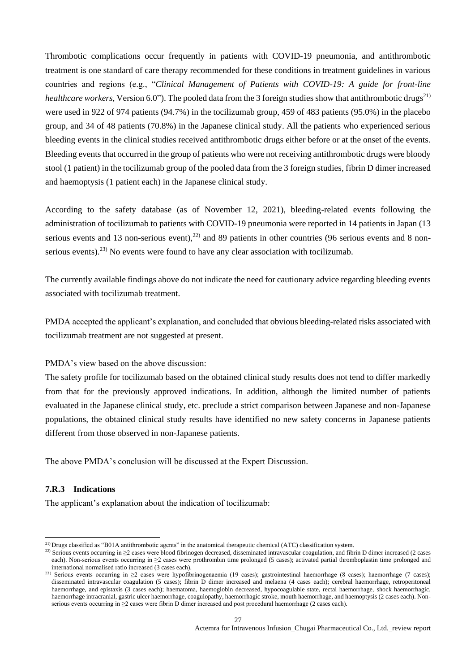Thrombotic complications occur frequently in patients with COVID-19 pneumonia, and antithrombotic treatment is one standard of care therapy recommended for these conditions in treatment guidelines in various countries and regions (e.g., "*Clinical Management of Patients with COVID-19: A guide for front-line healthcare workers*, Version 6.0"). The pooled data from the 3 foreign studies show that antithrombotic drugs<sup>21)</sup> were used in 922 of 974 patients (94.7%) in the tocilizumab group, 459 of 483 patients (95.0%) in the placebo group, and 34 of 48 patients (70.8%) in the Japanese clinical study. All the patients who experienced serious bleeding events in the clinical studies received antithrombotic drugs either before or at the onset of the events. Bleeding events that occurred in the group of patients who were not receiving antithrombotic drugs were bloody stool (1 patient) in the tocilizumab group of the pooled data from the 3 foreign studies, fibrin D dimer increased and haemoptysis (1 patient each) in the Japanese clinical study.

According to the safety database (as of November 12, 2021), bleeding-related events following the administration of tocilizumab to patients with COVID-19 pneumonia were reported in 14 patients in Japan (13 serious events and 13 non-serious event),  $22$  and 89 patients in other countries (96 serious events and 8 nonserious events).<sup>23)</sup> No events were found to have any clear association with tocilizumab.

The currently available findings above do not indicate the need for cautionary advice regarding bleeding events associated with tocilizumab treatment.

PMDA accepted the applicant's explanation, and concluded that obvious bleeding-related risks associated with tocilizumab treatment are not suggested at present.

PMDA's view based on the above discussion:

The safety profile for tocilizumab based on the obtained clinical study results does not tend to differ markedly from that for the previously approved indications. In addition, although the limited number of patients evaluated in the Japanese clinical study, etc. preclude a strict comparison between Japanese and non-Japanese populations, the obtained clinical study results have identified no new safety concerns in Japanese patients different from those observed in non-Japanese patients.

The above PMDA's conclusion will be discussed at the Expert Discussion.

## **7.R.3 Indications**

l

The applicant's explanation about the indication of tocilizumab:

 $2^{21}$  Drugs classified as "B01A antithrombotic agents" in the anatomical therapeutic chemical (ATC) classification system.

<sup>&</sup>lt;sup>22)</sup> Serious events occurring in ≥2 cases were blood fibrinogen decreased, disseminated intravascular coagulation, and fibrin D dimer increased (2 cases each). Non-serious events occurring in  $\geq$ 2 cases were prothrombin time prolonged (5 cases); activated partial thromboplastin time prolonged and international normalised ratio increased (3 cases each).

<sup>&</sup>lt;sup>23)</sup> Serious events occurring in ≥2 cases were hypofibrinogenaemia (19 cases); gastrointestinal haemorrhage (8 cases); haemorrhage (7 cases); disseminated intravascular coagulation (5 cases); fibrin D dimer increased and melaena (4 cases each); cerebral haemorrhage, retroperitoneal haemorrhage, and epistaxis (3 cases each); haematoma, haemoglobin decreased, hypocoagulable state, rectal haemorrhage, shock haemorrhagic, haemorrhage intracranial, gastric ulcer haemorrhage, coagulopathy, haemorrhagic stroke, mouth haemorrhage, and haemoptysis (2 cases each). Nonserious events occurring in ≥2 cases were fibrin D dimer increased and post procedural haemorrhage (2 cases each).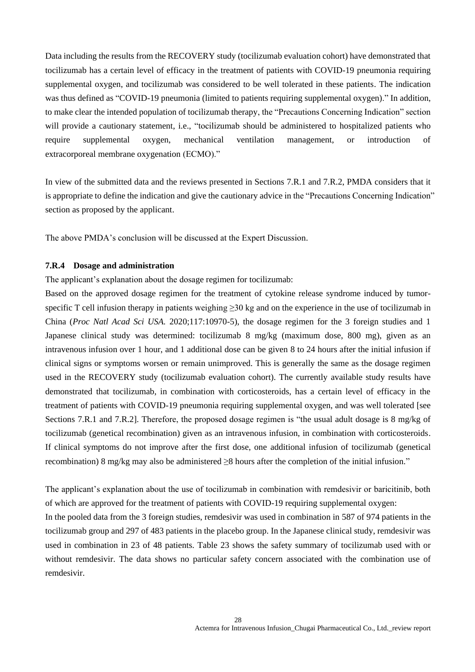Data including the results from the RECOVERY study (tocilizumab evaluation cohort) have demonstrated that tocilizumab has a certain level of efficacy in the treatment of patients with COVID-19 pneumonia requiring supplemental oxygen, and tocilizumab was considered to be well tolerated in these patients. The indication was thus defined as "COVID-19 pneumonia (limited to patients requiring supplemental oxygen)." In addition, to make clear the intended population of tocilizumab therapy, the "Precautions Concerning Indication" section will provide a cautionary statement, i.e., "tocilizumab should be administered to hospitalized patients who require supplemental oxygen, mechanical ventilation management, or introduction of extracorporeal membrane oxygenation (ECMO)."

In view of the submitted data and the reviews presented in Sections 7.R.1 and 7.R.2, PMDA considers that it is appropriate to define the indication and give the cautionary advice in the "Precautions Concerning Indication" section as proposed by the applicant.

The above PMDA's conclusion will be discussed at the Expert Discussion.

#### **7.R.4 Dosage and administration**

The applicant's explanation about the dosage regimen for tocilizumab:

Based on the approved dosage regimen for the treatment of cytokine release syndrome induced by tumorspecific T cell infusion therapy in patients weighing  $\geq$ 30 kg and on the experience in the use of tocilizumab in China (*Proc Natl Acad Sci USA.* 2020;117:10970-5), the dosage regimen for the 3 foreign studies and 1 Japanese clinical study was determined: tocilizumab 8 mg/kg (maximum dose, 800 mg), given as an intravenous infusion over 1 hour, and 1 additional dose can be given 8 to 24 hours after the initial infusion if clinical signs or symptoms worsen or remain unimproved. This is generally the same as the dosage regimen used in the RECOVERY study (tocilizumab evaluation cohort). The currently available study results have demonstrated that tocilizumab, in combination with corticosteroids, has a certain level of efficacy in the treatment of patients with COVID-19 pneumonia requiring supplemental oxygen, and was well tolerated [see Sections 7.R.1 and 7.R.2]. Therefore, the proposed dosage regimen is "the usual adult dosage is 8 mg/kg of tocilizumab (genetical recombination) given as an intravenous infusion, in combination with corticosteroids. If clinical symptoms do not improve after the first dose, one additional infusion of tocilizumab (genetical recombination) 8 mg/kg may also be administered ≥8 hours after the completion of the initial infusion."

The applicant's explanation about the use of tocilizumab in combination with remdesivir or baricitinib, both of which are approved for the treatment of patients with COVID-19 requiring supplemental oxygen: In the pooled data from the 3 foreign studies, remdesivir was used in combination in 587 of 974 patients in the tocilizumab group and 297 of 483 patients in the placebo group. In the Japanese clinical study, remdesivir was used in combination in 23 of 48 patients. Table 23 shows the safety summary of tocilizumab used with or without remdesivir. The data shows no particular safety concern associated with the combination use of remdesivir.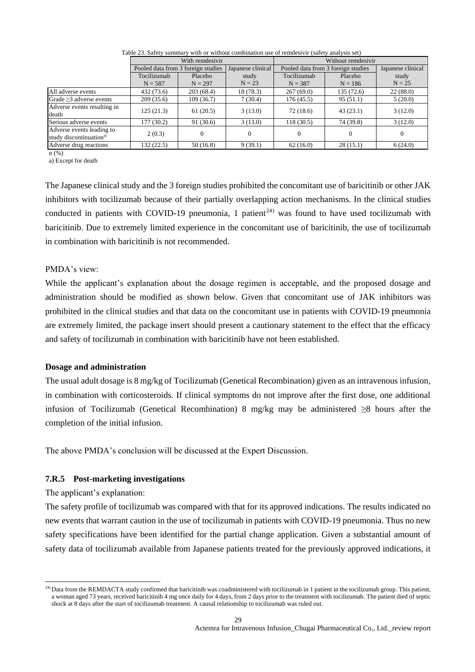|                                                                  |                                    | With remdesivir |                   | Without remdesivir                 |           |                   |  |
|------------------------------------------------------------------|------------------------------------|-----------------|-------------------|------------------------------------|-----------|-------------------|--|
|                                                                  | Pooled data from 3 foreign studies |                 | Japanese clinical | Pooled data from 3 foreign studies |           | Japanese clinical |  |
|                                                                  | Tocilizumab                        | Placebo         | study             | Tocilizumab                        | Placebo   | study             |  |
|                                                                  | $N = 587$                          | $N = 297$       | $N = 23$          | $N = 387$                          | $N = 186$ | $N = 25$          |  |
| All adverse events                                               | 432 (73.6)                         | 203(68.4)       | 18(78.3)          | 267(69.0)                          | 135(72.6) | 22(88.0)          |  |
| Grade $\geq$ 3 adverse events                                    | 209(35.6)                          | 109 (36.7)      | 7(30.4)           | 176(45.5)                          | 95(51.1)  | 5(20.0)           |  |
| Adverse events resulting in<br>death                             | 125(21.3)                          | 61(20.5)        | 3(13.0)           | 72(18.6)                           | 43(23.1)  | 3(12.0)           |  |
| Serious adverse events                                           | 177 (30.2)                         | 91(30.6)        | 3(13.0)           | 118(30.5)                          | 74 (39.8) | 3(12.0)           |  |
| Adverse events leading to<br>study discontinuation <sup>a)</sup> | 2(0.3)                             | $\Omega$        | $\Omega$          |                                    | $\Omega$  | $\theta$          |  |
| Adverse drug reactions                                           | 132 (22.5)                         | 50(16.8)        | 9(39.1)           | 62(16.0)                           | 28(15.1)  | 6(24.0)           |  |

Table 23. Safety summary with or without combination use of remdesivir (safety analysis set)

n (%)

a) Except for death

The Japanese clinical study and the 3 foreign studies prohibited the concomitant use of baricitinib or other JAK inhibitors with tocilizumab because of their partially overlapping action mechanisms. In the clinical studies conducted in patients with COVID-19 pneumonia, 1 patient<sup>24)</sup> was found to have used tocilizumab with baricitinib. Due to extremely limited experience in the concomitant use of baricitinib, the use of tocilizumab in combination with baricitinib is not recommended.

#### PMDA's view:

While the applicant's explanation about the dosage regimen is acceptable, and the proposed dosage and administration should be modified as shown below. Given that concomitant use of JAK inhibitors was prohibited in the clinical studies and that data on the concomitant use in patients with COVID-19 pneumonia are extremely limited, the package insert should present a cautionary statement to the effect that the efficacy and safety of tocilizumab in combination with baricitinib have not been established.

#### **Dosage and administration**

The usual adult dosage is 8 mg/kg of Tocilizumab (Genetical Recombination) given as an intravenous infusion, in combination with corticosteroids. If clinical symptoms do not improve after the first dose, one additional infusion of Tocilizumab (Genetical Recombination) 8 mg/kg may be administered  $\geq 8$  hours after the completion of the initial infusion.

The above PMDA's conclusion will be discussed at the Expert Discussion.

## **7.R.5 Post-marketing investigations**

The applicant's explanation:

l

The safety profile of tocilizumab was compared with that for its approved indications. The results indicated no new events that warrant caution in the use of tocilizumab in patients with COVID-19 pneumonia. Thus no new safety specifications have been identified for the partial change application. Given a substantial amount of safety data of tocilizumab available from Japanese patients treated for the previously approved indications, it

 $^{24)}$ Data from the REMDACTA study confirmed that baricitinib was coadministered with tocilizumab in 1 patient in the tocilizumab group. This patient, a woman aged 73 years, received baricitinib 4 mg once daily for 4 days, from 2 days prior to the treatment with tocilizumab. The patient died of septic shock at 8 days after the start of tocilizumab treatment. A causal relationship to tocilizumab was ruled out.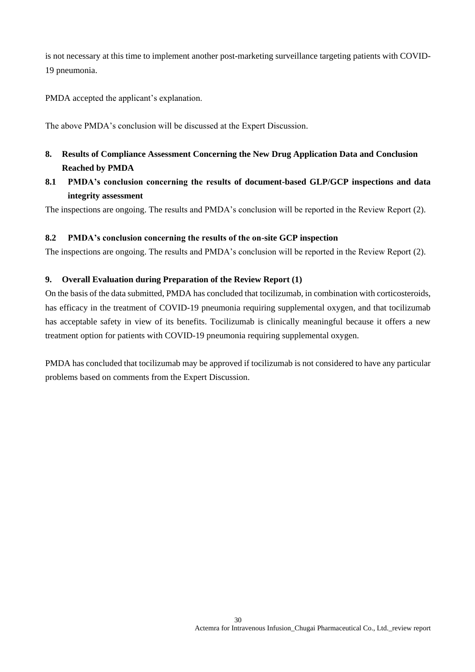is not necessary at this time to implement another post-marketing surveillance targeting patients with COVID-19 pneumonia.

PMDA accepted the applicant's explanation.

The above PMDA's conclusion will be discussed at the Expert Discussion.

- **8. Results of Compliance Assessment Concerning the New Drug Application Data and Conclusion Reached by PMDA**
- **8.1 PMDA's conclusion concerning the results of document-based GLP/GCP inspections and data integrity assessment**

The inspections are ongoing. The results and PMDA's conclusion will be reported in the Review Report (2).

#### **8.2 PMDA's conclusion concerning the results of the on-site GCP inspection**

The inspections are ongoing. The results and PMDA's conclusion will be reported in the Review Report (2).

## **9. Overall Evaluation during Preparation of the Review Report (1)**

On the basis of the data submitted, PMDA has concluded that tocilizumab, in combination with corticosteroids, has efficacy in the treatment of COVID-19 pneumonia requiring supplemental oxygen, and that tocilizumab has acceptable safety in view of its benefits. Tocilizumab is clinically meaningful because it offers a new treatment option for patients with COVID-19 pneumonia requiring supplemental oxygen.

PMDA has concluded that tocilizumab may be approved if tocilizumab is not considered to have any particular problems based on comments from the Expert Discussion.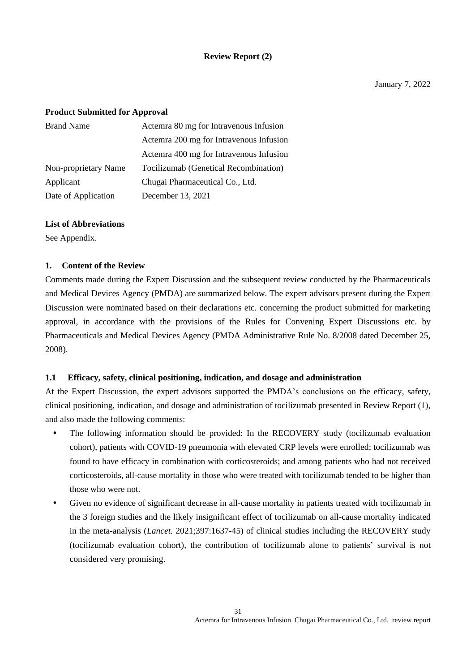## **Review Report (2)**

#### **Product Submitted for Approval**

| <b>Brand Name</b>    | Actemra 80 mg for Intravenous Infusion  |
|----------------------|-----------------------------------------|
|                      | Actemra 200 mg for Intravenous Infusion |
|                      | Actemra 400 mg for Intravenous Infusion |
| Non-proprietary Name | Tocilizumab (Genetical Recombination)   |
| Applicant            | Chugai Pharmaceutical Co., Ltd.         |
| Date of Application  | December 13, 2021                       |

#### **List of Abbreviations**

See Appendix.

#### **1. Content of the Review**

Comments made during the Expert Discussion and the subsequent review conducted by the Pharmaceuticals and Medical Devices Agency (PMDA) are summarized below. The expert advisors present during the Expert Discussion were nominated based on their declarations etc. concerning the product submitted for marketing approval, in accordance with the provisions of the Rules for Convening Expert Discussions etc. by Pharmaceuticals and Medical Devices Agency (PMDA Administrative Rule No. 8/2008 dated December 25, 2008).

#### **1.1 Efficacy, safety, clinical positioning, indication, and dosage and administration**

At the Expert Discussion, the expert advisors supported the PMDA's conclusions on the efficacy, safety, clinical positioning, indication, and dosage and administration of tocilizumab presented in Review Report (1), and also made the following comments:

- The following information should be provided: In the RECOVERY study (tocilizumab evaluation cohort), patients with COVID-19 pneumonia with elevated CRP levels were enrolled; tocilizumab was found to have efficacy in combination with corticosteroids; and among patients who had not received corticosteroids, all-cause mortality in those who were treated with tocilizumab tended to be higher than those who were not.
- Given no evidence of significant decrease in all-cause mortality in patients treated with tocilizumab in the 3 foreign studies and the likely insignificant effect of tocilizumab on all-cause mortality indicated in the meta-analysis (*Lancet.* 2021;397:1637-45) of clinical studies including the RECOVERY study (tocilizumab evaluation cohort), the contribution of tocilizumab alone to patients' survival is not considered very promising.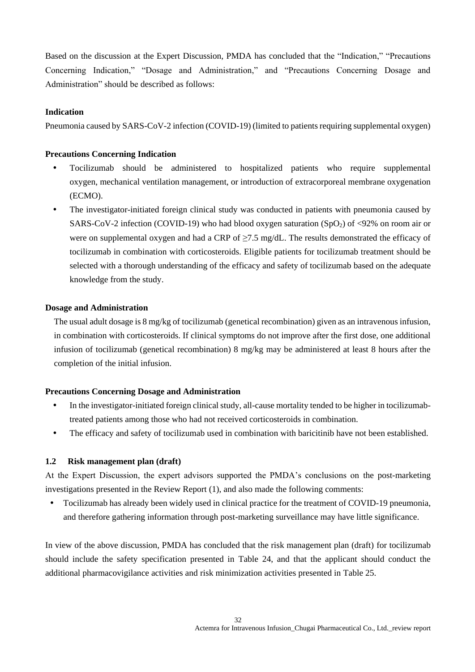Based on the discussion at the Expert Discussion, PMDA has concluded that the "Indication," "Precautions Concerning Indication," "Dosage and Administration," and "Precautions Concerning Dosage and Administration" should be described as follows:

#### **Indication**

Pneumonia caused by SARS-CoV-2 infection (COVID-19) (limited to patients requiring supplemental oxygen)

#### **Precautions Concerning Indication**

- Tocilizumab should be administered to hospitalized patients who require supplemental oxygen, mechanical ventilation management, or introduction of extracorporeal membrane oxygenation (ECMO).
- The investigator-initiated foreign clinical study was conducted in patients with pneumonia caused by SARS-CoV-2 infection (COVID-19) who had blood oxygen saturation (SpO2) of <92% on room air or were on supplemental oxygen and had a CRP of  $\geq$ 7.5 mg/dL. The results demonstrated the efficacy of tocilizumab in combination with corticosteroids. Eligible patients for tocilizumab treatment should be selected with a thorough understanding of the efficacy and safety of tocilizumab based on the adequate knowledge from the study.

#### **Dosage and Administration**

The usual adult dosage is 8 mg/kg of tocilizumab (genetical recombination) given as an intravenous infusion, in combination with corticosteroids. If clinical symptoms do not improve after the first dose, one additional infusion of tocilizumab (genetical recombination) 8 mg/kg may be administered at least 8 hours after the completion of the initial infusion.

#### **Precautions Concerning Dosage and Administration**

- In the investigator-initiated foreign clinical study, all-cause mortality tended to be higher in tocilizumabtreated patients among those who had not received corticosteroids in combination.
- The efficacy and safety of tocilizumab used in combination with baricitinib have not been established.

#### **1.2 Risk management plan (draft)**

At the Expert Discussion, the expert advisors supported the PMDA's conclusions on the post-marketing investigations presented in the Review Report (1), and also made the following comments:

 Tocilizumab has already been widely used in clinical practice for the treatment of COVID-19 pneumonia, and therefore gathering information through post-marketing surveillance may have little significance.

In view of the above discussion, PMDA has concluded that the risk management plan (draft) for tocilizumab should include the safety specification presented in Table 24, and that the applicant should conduct the additional pharmacovigilance activities and risk minimization activities presented in Table 25.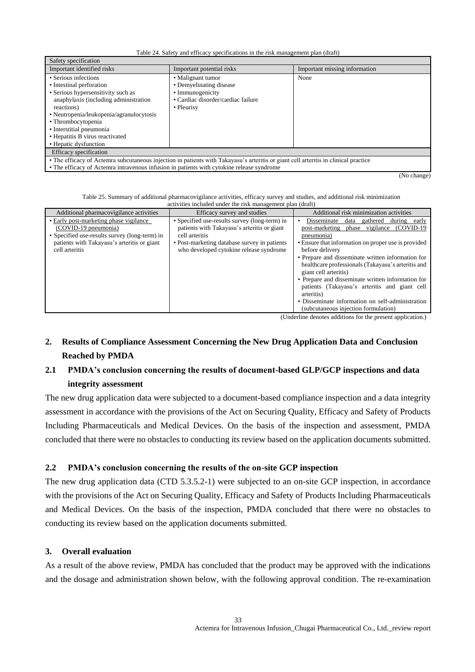Table 24. Safety and efficacy specifications in the risk management plan (draft)

| Safety specification                                                                                                                                                                                                                                                                                    |                                                                                                                      |                               |  |  |
|---------------------------------------------------------------------------------------------------------------------------------------------------------------------------------------------------------------------------------------------------------------------------------------------------------|----------------------------------------------------------------------------------------------------------------------|-------------------------------|--|--|
| Important identified risks                                                                                                                                                                                                                                                                              | Important potential risks                                                                                            | Important missing information |  |  |
| • Serious infections<br>• Intestinal perforation<br>• Serious hypersensitivity such as<br>anaphylaxis (including administration<br>reactions)<br>• Neutropenia/leukopenia/agranulocytosis<br>• Thrombocytopenia<br>• Interstitial pneumonia<br>• Hepatitis B virus reactivated<br>• Hepatic dysfunction | • Malignant tumor<br>• Demyelinating disease<br>• Immunogenicity<br>• Cardiac disorder/cardiac failure<br>• Pleurisy | None                          |  |  |
| Efficacy specification                                                                                                                                                                                                                                                                                  |                                                                                                                      |                               |  |  |
| • The efficacy of Actemra subcutaneous injection in patients with Takayasu's arteritis or giant cell arteritis in clinical practice                                                                                                                                                                     |                                                                                                                      |                               |  |  |

• The efficacy of Actemra intravenous infusion in patients with cytokine release syndrome

 $\overline{N_0}$  change)

Table 25. Summary of additional pharmacovigilance activities, efficacy survey and studies, and additional risk minimization activities included under the risk management plan (draft)

|                                                                                                                                                                                  | activities included under the risk management plan (draft)                                                                                                                                                |                                                                                                                                                                                                                                                                                                                                                                                                                                                                                                                                                   |  |  |  |  |
|----------------------------------------------------------------------------------------------------------------------------------------------------------------------------------|-----------------------------------------------------------------------------------------------------------------------------------------------------------------------------------------------------------|---------------------------------------------------------------------------------------------------------------------------------------------------------------------------------------------------------------------------------------------------------------------------------------------------------------------------------------------------------------------------------------------------------------------------------------------------------------------------------------------------------------------------------------------------|--|--|--|--|
| Additional pharmacovigilance activities                                                                                                                                          | Efficacy survey and studies                                                                                                                                                                               | Additional risk minimization activities                                                                                                                                                                                                                                                                                                                                                                                                                                                                                                           |  |  |  |  |
| • Early post-marketing phase vigilance<br>(COVID-19 pneumonia)<br>• Specified use-results survey (long-term) in<br>patients with Takayasu's arteritis or giant<br>cell arteritis | • Specified use-results survey (long-term) in<br>patients with Takayasu's arteritis or giant<br>cell arteritis<br>• Post-marketing database survey in patients<br>who developed cytokine release syndrome | Disseminate<br>gathered<br>during early<br>data<br>(COVID-19)<br>vigilance<br>post-marketing<br>phase<br>pneumonia)<br>• Ensure that information on proper use is provided<br>before delivery<br>• Prepare and disseminate written information for<br>healthcare professionals (Takayasu's arteritis and<br>giant cell arteritis)<br>• Prepare and disseminate written information for<br>patients (Takayasu's arteritis and giant cell<br>arteritis)<br>• Disseminate information on self-administration<br>(subcutaneous injection formulation) |  |  |  |  |
|                                                                                                                                                                                  |                                                                                                                                                                                                           | $\sigma$ to deuties a december of distance $\mathcal{L}_{\sigma}$ and conserved conditional control.                                                                                                                                                                                                                                                                                                                                                                                                                                              |  |  |  |  |

(Underline denotes additions for the present application.)

# **2. Results of Compliance Assessment Concerning the New Drug Application Data and Conclusion Reached by PMDA**

# **2.1 PMDA's conclusion concerning the results of document-based GLP/GCP inspections and data integrity assessment**

The new drug application data were subjected to a document-based compliance inspection and a data integrity assessment in accordance with the provisions of the Act on Securing Quality, Efficacy and Safety of Products Including Pharmaceuticals and Medical Devices. On the basis of the inspection and assessment, PMDA concluded that there were no obstacles to conducting its review based on the application documents submitted.

## **2.2 PMDA's conclusion concerning the results of the on-site GCP inspection**

The new drug application data (CTD 5.3.5.2-1) were subjected to an on-site GCP inspection, in accordance with the provisions of the Act on Securing Quality, Efficacy and Safety of Products Including Pharmaceuticals and Medical Devices. On the basis of the inspection, PMDA concluded that there were no obstacles to conducting its review based on the application documents submitted.

#### **3. Overall evaluation**

As a result of the above review, PMDA has concluded that the product may be approved with the indications and the dosage and administration shown below, with the following approval condition. The re-examination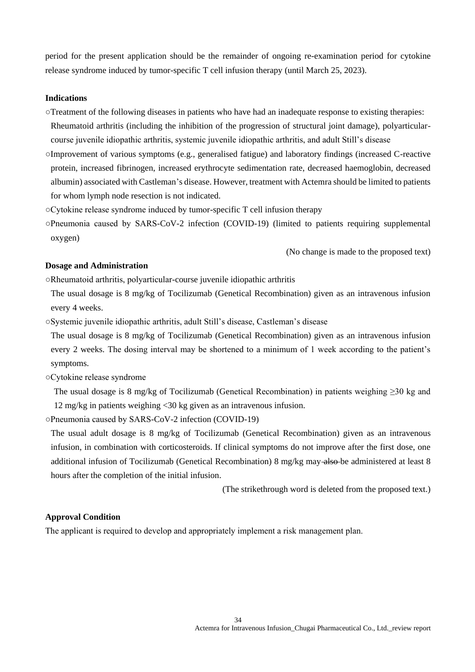period for the present application should be the remainder of ongoing re-examination period for cytokine release syndrome induced by tumor-specific T cell infusion therapy (until March 25, 2023).

#### **Indications**

○Treatment of the following diseases in patients who have had an inadequate response to existing therapies:

Rheumatoid arthritis (including the inhibition of the progression of structural joint damage), polyarticularcourse juvenile idiopathic arthritis, systemic juvenile idiopathic arthritis, and adult Still's disease

- ○Improvement of various symptoms (e.g., generalised fatigue) and laboratory findings (increased C-reactive protein, increased fibrinogen, increased erythrocyte sedimentation rate, decreased haemoglobin, decreased albumin) associated with Castleman's disease. However, treatment with Actemra should be limited to patients for whom lymph node resection is not indicated.
- ○Cytokine release syndrome induced by tumor-specific T cell infusion therapy
- ○Pneumonia caused by SARS-CoV-2 infection (COVID-19) (limited to patients requiring supplemental oxygen)

(No change is made to the proposed text)

#### **Dosage and Administration**

○Rheumatoid arthritis, polyarticular-course juvenile idiopathic arthritis

- The usual dosage is 8 mg/kg of Tocilizumab (Genetical Recombination) given as an intravenous infusion every 4 weeks.
- ○Systemic juvenile idiopathic arthritis, adult Still's disease, Castleman's disease

The usual dosage is 8 mg/kg of Tocilizumab (Genetical Recombination) given as an intravenous infusion every 2 weeks. The dosing interval may be shortened to a minimum of 1 week according to the patient's symptoms.

○Cytokine release syndrome

The usual dosage is 8 mg/kg of Tocilizumab (Genetical Recombination) in patients weighing ≥30 kg and 12 mg/kg in patients weighing <30 kg given as an intravenous infusion.

○Pneumonia caused by SARS-CoV-2 infection (COVID-19)

The usual adult dosage is 8 mg/kg of Tocilizumab (Genetical Recombination) given as an intravenous infusion, in combination with corticosteroids. If clinical symptoms do not improve after the first dose, one additional infusion of Tocilizumab (Genetical Recombination) 8 mg/kg may also be administered at least 8 hours after the completion of the initial infusion.

(The strikethrough word is deleted from the proposed text.)

#### **Approval Condition**

The applicant is required to develop and appropriately implement a risk management plan.